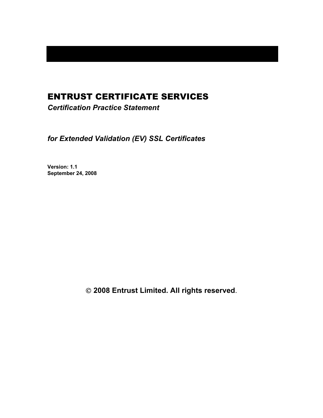# ENTRUST CERTIFICATE SERVICES

*Certification Practice Statement* 

*for Extended Validation (EV) SSL Certificates* 

**Version: 1.1 September 24, 2008** 

 **2008 Entrust Limited. All rights reserved**.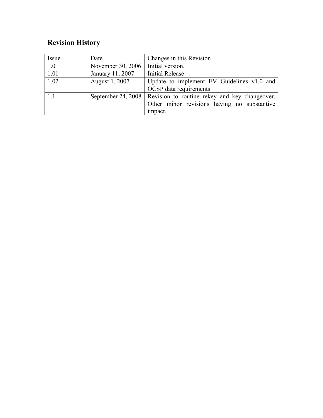# **Revision History**

| Issue | Date               | Changes in this Revision                      |
|-------|--------------------|-----------------------------------------------|
| 1.0   | November 30, 2006  | Initial version.                              |
| 1.01  | January 11, 2007   | <b>Initial Release</b>                        |
| 1.02  | August 1, 2007     | Update to implement EV Guidelines v1.0 and    |
|       |                    | OCSP data requirements                        |
| 1.1   | September 24, 2008 | Revision to routine rekey and key changeover. |
|       |                    | Other minor revisions having no substantive   |
|       |                    | impact.                                       |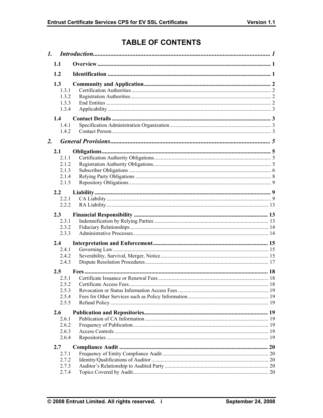# **TABLE OF CONTENTS**

|    | 1.1                                               |  |
|----|---------------------------------------------------|--|
|    | 1.2                                               |  |
|    | 1.3<br>1.3.1<br>1.3.2<br>1.3.3<br>1.3.4           |  |
|    | 1.4<br>1.4.1<br>1.4.2                             |  |
| 2. |                                                   |  |
|    | 2.1<br>2.1.1<br>2.1.2<br>2.1.3<br>2.1.4<br>2.1.5  |  |
|    | 2.2                                               |  |
|    | 2.2.1<br>2.2.2                                    |  |
|    | 2.3                                               |  |
|    | 2.3.1                                             |  |
|    | 2.3.2                                             |  |
|    | 2.3.3                                             |  |
|    | 2.4<br>2.4.1                                      |  |
|    | 2.4.2                                             |  |
|    | 2.4.3                                             |  |
|    | $2.5^{\circ}$<br>2.5.1<br>2.5.2<br>2.5.3<br>2.5.4 |  |
|    | 2.5.5                                             |  |
|    | 2.6<br>2.6.1                                      |  |
|    | 2.6.2                                             |  |
|    | 2.6.3                                             |  |
|    | 2.6.4                                             |  |
|    | 2.7                                               |  |
|    | 2.7.1                                             |  |
|    | 2.7.2                                             |  |
|    | 2.7.3                                             |  |
|    | 2.7.4                                             |  |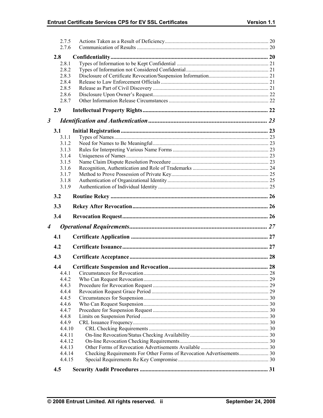|                      | 2.7.5<br>2.7.6 |  |
|----------------------|----------------|--|
|                      |                |  |
|                      | 2.8            |  |
|                      | 2.8.1          |  |
|                      | 2.8.2          |  |
|                      | 2.8.3          |  |
|                      | 2.8.4          |  |
|                      | 2.8.5          |  |
|                      | 2.8.6          |  |
|                      | 2.8.7          |  |
|                      | 2.9            |  |
| $\boldsymbol{\beta}$ |                |  |
|                      | 3.1            |  |
|                      | 3.1.1          |  |
|                      | 3.1.2          |  |
|                      | 3.1.3          |  |
|                      | 3.1.4          |  |
|                      | 3.1.5          |  |
|                      | 3.1.6          |  |
|                      | 3.1.7          |  |
|                      | 3.1.8          |  |
|                      | 3.1.9          |  |
|                      | 3.2            |  |
|                      | 3.3            |  |
|                      | 3.4            |  |
| $\boldsymbol{4}$     |                |  |
|                      |                |  |
|                      | 4.1            |  |
|                      | 4.2            |  |
|                      | 4.3            |  |
|                      | 4.4            |  |
|                      | 4.4.1          |  |
|                      | 4.4.2          |  |
|                      |                |  |
|                      | 4.4.3          |  |
|                      | 4.4.4          |  |
|                      | 4.4.5          |  |
|                      | 4.4.6          |  |
|                      | 4.4.7          |  |
|                      | 4.4.8          |  |
|                      | 4.4.9          |  |
|                      | 4.4.10         |  |
|                      | 4.4.11         |  |
|                      | 4.4.12         |  |
|                      | 4.4.13         |  |
|                      | 4.4.14         |  |
|                      | 4.4.15         |  |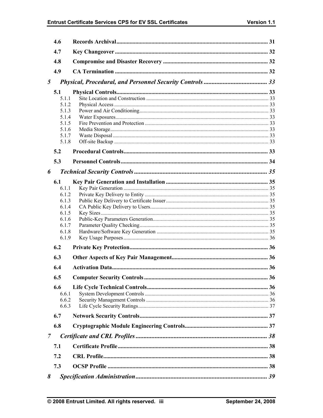# Entrust Certificate Services CPS for EV SSL Certificates

|   | 4.6            |  |
|---|----------------|--|
|   | 4.7            |  |
|   | 4.8            |  |
|   | 4.9            |  |
| 5 |                |  |
|   | 5.1            |  |
|   | 5.1.1          |  |
|   | 5.1.2          |  |
|   | 5.1.3          |  |
|   | 5.1.4          |  |
|   | 5.1.5          |  |
|   | 5.1.6          |  |
|   | 5.1.7<br>5.1.8 |  |
|   |                |  |
|   | 5.2            |  |
|   | 5.3            |  |
| 6 |                |  |
|   | 6.1            |  |
|   | 6.1.1          |  |
|   | 6.1.2          |  |
|   | 6.1.3          |  |
|   | 6.1.4<br>6.1.5 |  |
|   | 6.1.6          |  |
|   | 6.1.7          |  |
|   | 6.1.8          |  |
|   | 6.1.9          |  |
|   | 6.2            |  |
|   | 6.3            |  |
|   | 6.4            |  |
|   | 6.5            |  |
|   |                |  |
|   | 6.6<br>6.6.1   |  |
|   | 6.6.2          |  |
|   | 6.6.3          |  |
|   | 6.7            |  |
|   | 6.8            |  |
|   |                |  |
| 7 |                |  |
|   | 7.1            |  |
|   | 7.2            |  |
|   | 7.3            |  |
| 8 |                |  |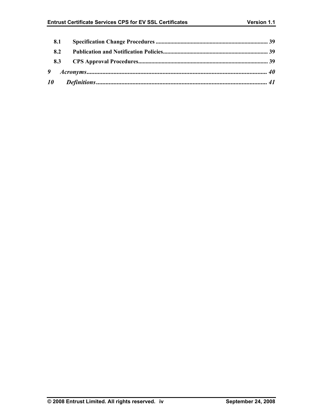| 8.1 |  |
|-----|--|
| 8.2 |  |
|     |  |
|     |  |
|     |  |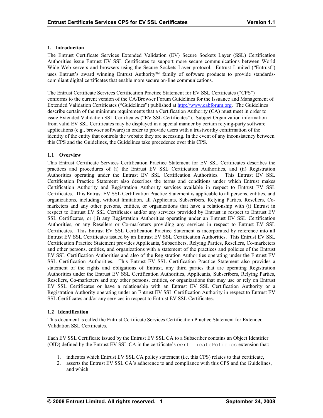#### <span id="page-6-0"></span>**1. Introduction**

The Entrust Certificate Services Extended Validation (EV) Secure Sockets Layer (SSL) Certification Authorities issue Entrust EV SSL Certificates to support more secure communications between World Wide Web servers and browsers using the Secure Sockets Layer protocol. Entrust Limited ("Entrust") uses Entrust's award winning Entrust Authority<sup>™</sup> family of software products to provide standardscompliant digital certificates that enable more secure on-line communications.

The Entrust Certificate Services Certification Practice Statement for EV SSL Certificates ("CPS") conforms to the current version of the CA/Browser Forum Guidelines for the Issuance and Management of Extended Validation Certificates ("Guidelines") published at [http://www.cabforum.org](http://www.cabforum.org/). The Guidelines describe certain of the minimum requirements that a Certification Authority (CA) must meet in order to issue Extended Validation SSL Certificates ("EV SSL Certificates"). Subject Organization information from valid EV SSL Certificates may be displayed in a special manner by certain relying-party software applications (e.g., browser software) in order to provide users with a trustworthy confirmation of the identity of the entity that controls the website they are accessing. In the event of any inconsistency between this CPS and the Guidelines, the Guidelines take precedence over this CPS.

# **1.1 Overview**

This Entrust Certificate Services Certification Practice Statement for EV SSL Certificates describes the practices and procedures of (i) the Entrust EV SSL Certification Authorities, and (ii) Registration Authorities operating under the Entrust EV SSL Certification Authorities. This Entrust EV SSL Certification Practice Statement also describes the terms and conditions under which Entrust makes Certification Authority and Registration Authority services available in respect to Entrust EV SSL Certificates. This Entrust EV SSL Certification Practice Statement is applicable to all persons, entities, and organizations, including, without limitation, all Applicants, Subscribers, Relying Parties, Resellers, Comarketers and any other persons, entities, or organizations that have a relationship with (i) Entrust in respect to Entrust EV SSL Certificates and/or any services provided by Entrust in respect to Entrust EV SSL Certificates, or (ii) any Registration Authorities operating under an Entrust EV SSL Certification Authorities, or any Resellers or Co-marketers providing any services in respect to Entrust EV SSL Certificates. This Entrust EV SSL Certification Practice Statement is incorporated by reference into all Entrust EV SSL Certificates issued by an Entrust EV SSL Certification Authorities. This Entrust EV SSL Certification Practice Statement provides Applicants, Subscribers, Relying Parties, Resellers, Co-marketers and other persons, entities, and organizations with a statement of the practices and policies of the Entrust EV SSL Certification Authorities and also of the Registration Authorities operating under the Entrust EV SSL Certification Authorities. This Entrust EV SSL Certification Practice Statement also provides a statement of the rights and obligations of Entrust, any third parties that are operating Registration Authorities under the Entrust EV SSL Certification Authorities, Applicants, Subscribers, Relying Parties, Resellers, Co-marketers and any other persons, entities, or organizations that may use or rely on Entrust EV SSL Certificates or have a relationship with an Entrust EV SSL Certification Authority or a Registration Authority operating under an Entrust EV SSL Certification Authority in respect to Entrust EV SSL Certificates and/or any services in respect to Entrust EV SSL Certificates.

#### **1.2 Identification**

This document is called the Entrust Certificate Services Certification Practice Statement for Extended Validation SSL Certificates.

Each EV SSL Certificate issued by the Entrust EV SSL CA to a Subscriber contains an Object Identifier (OID) defined by the Entrust EV SSL CA in the certificate's certificatePolicies extension that:

- 1. indicates which Entrust EV SSL CA policy statement (i.e. this CPS) relates to that certificate,
- 2. asserts the Entrust EV SSL CA's adherence to and compliance with this CPS and the Guidelines, and which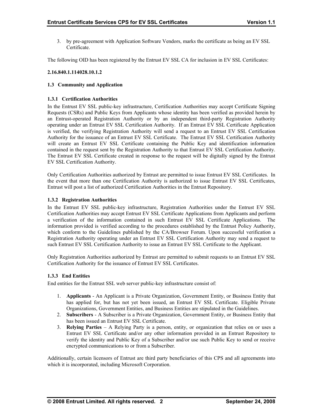<span id="page-7-0"></span>3. by pre-agreement with Application Software Vendors, marks the certificate as being an EV SSL Certificate.

The following OID has been registered by the Entrust EV SSL CA for inclusion in EV SSL Certificates:

#### **2.16.840.1.114028.10.1.2**

### **1.3 Community and Application**

### **1.3.1 Certification Authorities**

In the Entrust EV SSL public-key infrastructure, Certification Authorities may accept Certificate Signing Requests (CSRs) and Public Keys from Applicants whose identity has been verified as provided herein by an Entrust-operated Registration Authority or by an independent third-party Registration Authority operating under an Entrust EV SSL Certification Authority. If an Entrust EV SSL Certificate Application is verified, the verifying Registration Authority will send a request to an Entrust EV SSL Certification Authority for the issuance of an Entrust EV SSL Certificate. The Entrust EV SSL Certification Authority will create an Entrust EV SSL Certificate containing the Public Key and identification information contained in the request sent by the Registration Authority to that Entrust EV SSL Certification Authority. The Entrust EV SSL Certificate created in response to the request will be digitally signed by the Entrust EV SSL Certification Authority.

Only Certification Authorities authorized by Entrust are permitted to issue Entrust EV SSL Certificates. In the event that more than one Certification Authority is authorized to issue Entrust EV SSL Certificates, Entrust will post a list of authorized Certification Authorities in the Entrust Repository.

### **1.3.2 Registration Authorities**

In the Entrust EV SSL public-key infrastructure, Registration Authorities under the Entrust EV SSL Certification Authorities may accept Entrust EV SSL Certificate Applications from Applicants and perform a verification of the information contained in such Entrust EV SSL Certificate Applications. The information provided is verified according to the procedures established by the Entrust Policy Authority, which conform to the Guidelines published by the CA/Browser Forum. Upon successful verification a Registration Authority operating under an Entrust EV SSL Certification Authority may send a request to such Entrust EV SSL Certification Authority to issue an Entrust EV SSL Certificate to the Applicant.

Only Registration Authorities authorized by Entrust are permitted to submit requests to an Entrust EV SSL Certification Authority for the issuance of Entrust EV SSL Certificates.

# **1.3.3 End Entities**

End entities for the Entrust SSL web server public-key infrastructure consist of:

- 1. **Applicants** An Applicant is a Private Organization, Government Entity, or Business Entity that has applied for, but has not yet been issued, an Entrust EV SSL Certificate. Eligible Private Organizations, Government Entities, and Business Entities are stipulated in the Guidelines.
- 2. **Subscribers**  A Subscriber is a Private Organization, Government Entity, or Business Entity that has been issued an Entrust EV SSL Certificate.
- 3. **Relying Parties**  A Relying Party is a person, entity, or organization that relies on or uses a Entrust EV SSL Certificate and/or any other information provided in an Entrust Repository to verify the identity and Public Key of a Subscriber and/or use such Public Key to send or receive encrypted communications to or from a Subscriber.

Additionally, certain licensors of Entrust are third party beneficiaries of this CPS and all agreements into which it is incorporated, including Microsoft Corporation.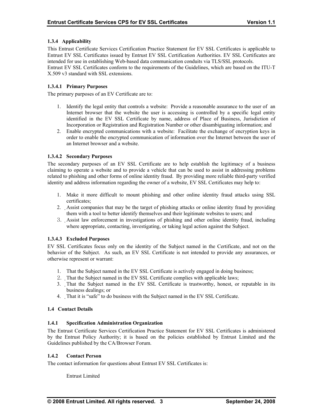# <span id="page-8-0"></span>**1.3.4 Applicability**

This Entrust Certificate Services Certification Practice Statement for EV SSL Certificates is applicable to Entrust EV SSL Certificates issued by Entrust EV SSL Certification Authorities. EV SSL Certificates are intended for use in establishing Web-based data communication conduits via TLS/SSL protocols. Entrust EV SSL Certificates conform to the requirements of the Guidelines, which are based on the ITU-T X.509 v3 standard with SSL extensions.

### **1.3.4.1 Primary Purposes**

The primary purposes of an EV Certificate are to:

- 1. Identify the legal entity that controls a website: Provide a reasonable assurance to the user of an Internet browser that the website the user is accessing is controlled by a specific legal entity identified in the EV SSL Certificate by name, address of Place of Business, Jurisdiction of Incorporation or Registration and Registration Number or other disambiguating information; and
- 2. Enable encrypted communications with a website: Facilitate the exchange of encryption keys in order to enable the encrypted communication of information over the Internet between the user of an Internet browser and a website.

### **1.3.4.2 Secondary Purposes**

The secondary purposes of an EV SSL Certificate are to help establish the legitimacy of a business claiming to operate a website and to provide a vehicle that can be used to assist in addressing problems related to phishing and other forms of online identity fraud. By providing more reliable third-party verified identity and address information regarding the owner of a website, EV SSL Certificates may help to:

- 1. Make it more difficult to mount phishing and other online identity fraud attacks using SSL certificates;
- 2. Assist companies that may be the target of phishing attacks or online identity fraud by providing them with a tool to better identify themselves and their legitimate websites to users; and
- 3. Assist law enforcement in investigations of phishing and other online identity fraud, including where appropriate, contacting, investigating, or taking legal action against the Subject.

#### **1.3.4.3 Excluded Purposes**

EV SSL Certificates focus only on the identity of the Subject named in the Certificate, and not on the behavior of the Subject. As such, an EV SSL Certificate is not intended to provide any assurances, or otherwise represent or warrant:

- 1. That the Subject named in the EV SSL Certificate is actively engaged in doing business;
- 2. That the Subject named in the EV SSL Certificate complies with applicable laws;
- 3. That the Subject named in the EV SSL Certificate is trustworthy, honest, or reputable in its business dealings; or
- 4. That it is "safe" to do business with the Subject named in the EV SSL Certificate.

#### **1.4 Contact Details**

#### **1.4.1 Specification Administration Organization**

The Entrust Certificate Services Certification Practice Statement for EV SSL Certificates is administered by the Entrust Policy Authority; it is based on the policies established by Entrust Limited and the Guidelines published by the CA/Browser Forum.

#### **1.4.2 Contact Person**

The contact information for questions about Entrust EV SSL Certificates is:

Entrust Limited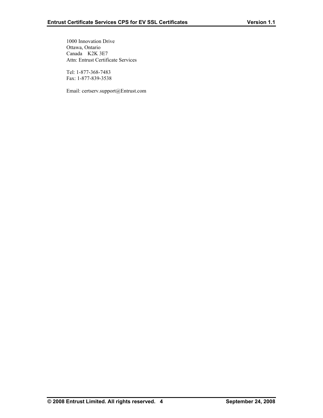1000 Innovation Drive Ottawa, Ontario Canada K2K 3E7 Attn: Entrust Certificate Services

 Tel: 1-877-368-7483 Fax: 1-877-839-3538

Email: certserv.support@Entrust.com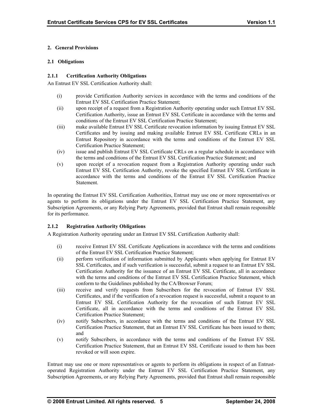# <span id="page-10-0"></span>**2. General Provisions**

#### **2.1 Obligations**

### **2.1.1 Certification Authority Obligations**

An Entrust EV SSL Certification Authority shall:

- (i) provide Certification Authority services in accordance with the terms and conditions of the Entrust EV SSL Certification Practice Statement;
- (ii) upon receipt of a request from a Registration Authority operating under such Entrust EV SSL Certification Authority, issue an Entrust EV SSL Certificate in accordance with the terms and conditions of the Entrust EV SSL Certification Practice Statement;
- (iii) make available Entrust EV SSL Certificate revocation information by issuing Entrust EV SSL Certificates and by issuing and making available Entrust EV SSL Certificate CRLs in an Entrust Repository in accordance with the terms and conditions of the Entrust EV SSL Certification Practice Statement;
- (iv) issue and publish Entrust EV SSL Certificate CRLs on a regular schedule in accordance with the terms and conditions of the Entrust EV SSL Certification Practice Statement; and
- (v) upon receipt of a revocation request from a Registration Authority operating under such Entrust EV SSL Certification Authority, revoke the specified Entrust EV SSL Certificate in accordance with the terms and conditions of the Entrust EV SSL Certification Practice **Statement**

In operating the Entrust EV SSL Certification Authorities, Entrust may use one or more representatives or agents to perform its obligations under the Entrust EV SSL Certification Practice Statement, any Subscription Agreements, or any Relying Party Agreements, provided that Entrust shall remain responsible for its performance.

# **2.1.2 Registration Authority Obligations**

A Registration Authority operating under an Entrust EV SSL Certification Authority shall:

- (i) receive Entrust EV SSL Certificate Applications in accordance with the terms and conditions of the Entrust EV SSL Certification Practice Statement;
- (ii) perform verification of information submitted by Applicants when applying for Entrust EV SSL Certificates, and if such verification is successful, submit a request to an Entrust EV SSL Certification Authority for the issuance of an Entrust EV SSL Certificate, all in accordance with the terms and conditions of the Entrust EV SSL Certification Practice Statement, which conform to the Guidelines published by the CA/Browser Forum;
- (iii) receive and verify requests from Subscribers for the revocation of Entrust EV SSL Certificates, and if the verification of a revocation request is successful, submit a request to an Entrust EV SSL Certification Authority for the revocation of such Entrust EV SSL Certificate, all in accordance with the terms and conditions of the Entrust EV SSL Certification Practice Statement;
- (iv) notify Subscribers, in accordance with the terms and conditions of the Entrust EV SSL Certification Practice Statement, that an Entrust EV SSL Certificate has been issued to them; and
- (v) notify Subscribers, in accordance with the terms and conditions of the Entrust EV SSL Certification Practice Statement, that an Entrust EV SSL Certificate issued to them has been revoked or will soon expire.

Entrust may use one or more representatives or agents to perform its obligations in respect of an Entrustoperated Registration Authority under the Entrust EV SSL Certification Practice Statement, any Subscription Agreements, or any Relying Party Agreements, provided that Entrust shall remain responsible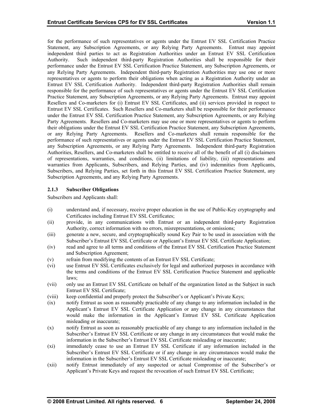<span id="page-11-0"></span>for the performance of such representatives or agents under the Entrust EV SSL Certification Practice Statement, any Subscription Agreements, or any Relying Party Agreements. Entrust may appoint independent third parties to act as Registration Authorities under an Entrust EV SSL Certification Authority. Such independent third-party Registration Authorities shall be responsible for their performance under the Entrust EV SSL Certification Practice Statement, any Subscription Agreements, or any Relying Party Agreements. Independent third-party Registration Authorities may use one or more representatives or agents to perform their obligations when acting as a Registration Authority under an Entrust EV SSL Certification Authority. Independent third-party Registration Authorities shall remain responsible for the performance of such representatives or agents under the Entrust EV SSL Certification Practice Statement, any Subscription Agreements, or any Relying Party Agreements. Entrust may appoint Resellers and Co-marketers for (i) Entrust EV SSL Certificates, and (ii) services provided in respect to Entrust EV SSL Certificates. Such Resellers and Co-marketers shall be responsible for their performance under the Entrust EV SSL Certification Practice Statement, any Subscription Agreements, or any Relying Party Agreements. Resellers and Co-marketers may use one or more representatives or agents to perform their obligations under the Entrust EV SSL Certification Practice Statement, any Subscription Agreements, or any Relying Party Agreements. Resellers and Co-marketers shall remain responsible for the performance of such representatives or agents under the Entrust EV SSL Certification Practice Statement, any Subscription Agreements, or any Relying Party Agreements. Independent third-party Registration Authorities, Resellers, and Co-marketers shall be entitled to receive all of the benefit of all (i) disclaimers of representations, warranties, and conditions, (ii) limitations of liability, (iii) representations and warranties from Applicants, Subscribers, and Relying Parties, and (iv) indemnities from Applicants, Subscribers, and Relying Parties, set forth in this Entrust EV SSL Certification Practice Statement, any Subscription Agreements, and any Relying Party Agreements.

### **2.1.3 Subscriber Obligations**

Subscribers and Applicants shall:

- (i) understand and, if necessary, receive proper education in the use of Public-Key cryptography and Certificates including Entrust EV SSL Certificates;
- (ii) provide, in any communications with Entrust or an independent third-party Registration Authority, correct information with no errors, misrepresentations, or omissions;
- (iii) generate a new, secure, and cryptographically sound Key Pair to be used in association with the Subscriber's Entrust EV SSL Certificate or Applicant's Entrust EV SSL Certificate Application;
- (iv) read and agree to all terms and conditions of the Entrust EV SSL Certification Practice Statement and Subscription Agreement;
- (v) refrain from modifying the contents of an Entrust EV SSL Certificate;
- (vi) use Entrust EV SSL Certificates exclusively for legal and authorized purposes in accordance with the terms and conditions of the Entrust EV SSL Certification Practice Statement and applicable laws;
- (vii) only use an Entrust EV SSL Certificate on behalf of the organization listed as the Subject in such Entrust EV SSL Certificate;
- (viii) keep confidential and properly protect the Subscriber's or Applicant's Private Keys;
- (ix) notify Entrust as soon as reasonably practicable of any change to any information included in the Applicant's Entrust EV SSL Certificate Application or any change in any circumstances that would make the information in the Applicant's Entrust EV SSL Certificate Application misleading or inaccurate;
- (x) notify Entrust as soon as reasonably practicable of any change to any information included in the Subscriber's Entrust EV SSL Certificate or any change in any circumstances that would make the information in the Subscriber's Entrust EV SSL Certificate misleading or inaccurate;
- (xi) immediately cease to use an Entrust EV SSL Certificate if any information included in the Subscriber's Entrust EV SSL Certificate or if any change in any circumstances would make the information in the Subscriber's Entrust EV SSL Certificate misleading or inaccurate;
- (xii) notify Entrust immediately of any suspected or actual Compromise of the Subscriber's or Applicant's Private Keys and request the revocation of such Entrust EV SSL Certificate;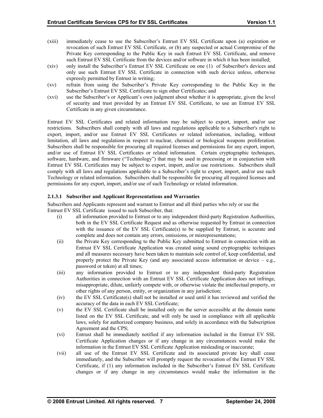- (xiii) immediately cease to use the Subscriber's Entrust EV SSL Certificate upon (a) expiration or revocation of such Entrust EV SSL Certificate, or (b) any suspected or actual Compromise of the Private Key corresponding to the Public Key in such Entrust EV SSL Certificate, and remove such Entrust EV SSL Certificate from the devices and/or software in which it has been installed;
- (xiv) only install the Subscriber's Entrust EV SSL Certificate on one (1) of Subscriber's devices and only use such Entrust EV SSL Certificate in connection with such device unless, otherwise expressly permitted by Entrust in writing;
- (xv) refrain from using the Subscriber's Private Key corresponding to the Public Key in the Subscriber's Entrust EV SSL Certificate to sign other Certificates; and
- (xvi) use the Subscriber's or Applicant's own judgment about whether it is appropriate, given the level of security and trust provided by an Entrust EV SSL Certificate, to use an Entrust EV SSL Certificate in any given circumstance.

Entrust EV SSL Certificates and related information may be subject to export, import, and/or use restrictions. Subscribers shall comply with all laws and regulations applicable to a Subscriber's right to export, import, and/or use Entrust EV SSL Certificates or related information, including, without limitation, all laws and regulations in respect to nuclear, chemical or biological weapons proliferation. Subscribers shall be responsible for procuring all required licenses and permissions for any export, import, and/or use of Entrust EV SSL Certificates or related information. Certain cryptographic techniques, software, hardware, and firmware ("Technology") that may be used in processing or in conjunction with Entrust EV SSL Certificates may be subject to export, import, and/or use restrictions. Subscribers shall comply with all laws and regulations applicable to a Subscriber's right to export, import, and/or use such Technology or related information. Subscribers shall be responsible for procuring all required licenses and permissions for any export, import, and/or use of such Technology or related information.

### **2.1.3.1 Subscriber and Applicant Representations and Warranties**

Subscribers and Applicants represent and warrant to Entrust and all third parties who rely or use the Entrust EV SSL Certificate issued to such Subscriber, that:

- (i) all information provided to Entrust or to any independent third-party Registration Authorities, both in the EV SSL Certificate Request and as otherwise requested by Entrust in connection with the issuance of the EV SSL Certificate(s) to be supplied by Entrust, is accurate and complete and does not contain any errors, omissions, or misrepresentations;
- (ii) the Private Key corresponding to the Public Key submitted to Entrust in connection with an Entrust EV SSL Certificate Application was created using sound cryptographic techniques and all measures necessary have been taken to maintain sole control of, keep confidential, and properly protect the Private Key (and any associated access information or device  $-$  e.g., password or token) at all times;
- (iii) any information provided to Entrust or to any independent third-party Registration Authorities in connection with an Entrust EV SSL Certificate Application does not infringe, misappropriate, dilute, unfairly compete with, or otherwise violate the intellectual property, or other rights of any person, entity, or organization in any jurisdiction;
- (iv) the EV SSL Certificate(s) shall not be installed or used until it has reviewed and verified the accuracy of the data in each EV SSL Certificate;
- (v) the EV SSL Certificate shall be installed only on the server accessible at the domain name listed on the EV SSL Certificate, and will only be used in compliance with all applicable laws, solely for authorized company business, and solely in accordance with the Subscription Agreement and the CPS;
- (vi) Entrust shall be immediately notified if any information included in the Entrust EV SSL Certificate Application changes or if any change in any circumstances would make the information in the Entrust EV SSL Certificate Application misleading or inaccurate;
- (vii) all use of the Entrust EV SSL Certificate and its associated private key shall cease immediately, and the Subscriber will promptly request the revocation of the Entrust EV SSL Certificate, if (1) any information included in the Subscriber's Entrust EV SSL Certificate changes or if any change in any circumstances would make the information in the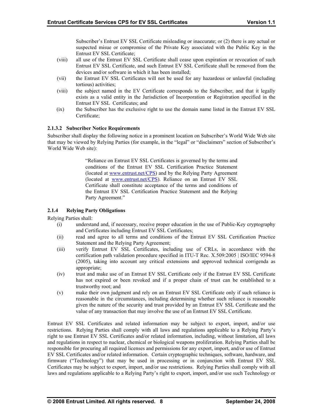Subscriber's Entrust EV SSL Certificate misleading or inaccurate; or (2) there is any actual or suspected misue or compromise of the Private Key associated with the Public Key in the Entrust EV SSL Certificate;

- <span id="page-13-0"></span>(viii) Entrust EV SSL Certificate, and such Entrust EV SSL Certificate shall be removed from the all use of the Entrust EV SSL Certificate shall cease upon expiration or revocation of such devices and/or software in which it has been installed;
- (vii) the Entrust EV SSL Certificates will not be used for any hazardous or unlawful (including tortious) activities;
- (viii) exists as a valid entity in the Jurisdiction of Incorporation or Registration specified in the the subject named in the EV Certificate corresponds to the Subscriber, and that it legally Entrust EV SSL Certificates; and
- (ix) the Subscriber has the exclusive right to use the domain name listed in the Entrust EV SSL Certificate;

### **2.1.3.2 Subscriber Notice Requirements**

that may be viewed by Relying Parties (for example, in the "legal" or "disclaimers" section of Subscriber's World Wide Web site): Subscriber shall display the following notice in a prominent location on Subscriber's World Wide Web site

> "Reliance on Entrust EV SSL Certificates is governed by the terms and conditions [of the Entrust](http://www.entrust.net/CPS) EV SSL Certification Practice Statement (located at w[ww.entrust.net/CPS\)](http://www.entrust.net/CPS) and by the Relying Party Agreement (located at www.entrust.net/CPS). Reliance on an Entrust EV SSL Certificate shall constitute acceptance of the terms and conditions of the Entrust EV SSL Certification Practice Statement and the Relying Party Agreement."

# **y Obligations 2.1.4 Relying Part**

Relying Parties shall:

- (i) understand and, if necessary, receive proper education in the use of Public-Key cryptography and Certificates including Entrust EV SSL Certificates;
- (ii) read and agree to all terms and conditions of the Entrust EV SSL Certification Practice Statement and the Relying Party Agreement;
- (iii) (2005), taking into account any critical extensions and approved technical corrigenda as verify Entrust EV SSL Certificates, including use of CRLs, in accordance with the certification path validation procedure specified in ITU-T Rec. X.509:2005 | ISO/IEC 9594-8 appropriate;
- (iv) has not expired or been revoked and if a proper chain of trust can be established to a trust and make use of an Entrust EV SSL Certificate only if the Entrust EV SSL Certificate trustworthy root; and
- (v) given the nature of the security and trust provided by an Entrust EV SSL Certificate and the value of any transaction that may involve the use of an Entrust EV SSL Certificate. make their own judgment and rely on an Entrust EV SSL Certificate only if such reliance is reasonable in the circumstances, including determining whether such reliance is reasonable

laws and regulations applicable to a Relying Party's right to export, import, and/or use such Technology or Entrust EV SSL Certificates and related information may be subject to export, import, and/or use restrictions. Relying Parties shall comply with all laws and regulations applicable to a Relying Party's right to use Entrust EV SSL Certificates and/or related information, including, without limitation, all laws and regulations in respect to nuclear, chemical or biological weapons proliferation. Relying Parties shall be responsible for procuring all required licenses and permissions for any export, import, and/or use of Entrust EV SSL Certificates and/or related information. Certain cryptographic techniques, software, hardware, and firmware ("Technology") that may be used in processing or in conjunction with Entrust EV SSL Certificates may be subject to export, import, and/or use restrictions. Relying Parties shall comply with all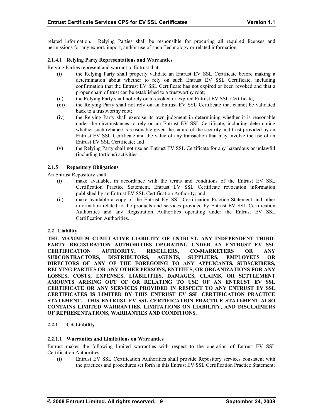<span id="page-14-0"></span>related information. Relying Parties shall be responsible for procuring all required licenses and permissions for any export, import, and/or use of such Technology or related information.

#### **2.1.4.1 Relying Party Representations and Warranties**

Relying Parties represent and warrant to Entrust that:

- (i) the Relying Party shall properly validate an Entrust EV SSL Certificate before making a determination about whether to rely on such Entrust EV SSL Certificate, including confirmation that the Entrust EV SSL Certificate has not expired or been revoked and that a proper chain of trust can be established to a trustworthy root;
- (ii) the Relying Party shall not rely on a revoked or expired Entrust EV SSL Certificate;
- (iii) the Relying Party shall not rely on an Entrust EV SSL Certificate that cannot be validated back to a trustworthy root;
- (iv) the Relying Party shall exercise its own judgment in determining whether it is reasonable under the circumstances to rely on an Entrust EV SSL Certificate, including determining whether such reliance is reasonable given the nature of the security and trust provided by an Entrust EV SSL Certificate and the value of any transaction that may involve the use of an Entrust EV SSL Certificate; and
- (v) the Relying Party shall not use an Entrust EV SSL Certificate for any hazardous or unlawful (including tortious) activities.

### **2.1.5 Repository Obligations**

An Entrust Repository shall:

- (i) make available, in accordance with the terms and conditions of the Entrust EV SSL Certification Practice Statement, Entrust EV SSL Certificate revocation information published by an Entrust EV SSL Certification Authority; and
- (ii) make available a copy of the Entrust EV SSL Certification Practice Statement and other information related to the products and services provided by Entrust EV SSL Certification Authorities and any Registration Authorities operating under the Entrust EV SSL Certification Authorities.

#### **2.2 Liability**

**THE MAXIMUM CUMULATIVE LIABILITY OF ENTRUST, ANY INDEPENDENT THIRD-PARTY REGISTRATION AUTHORITIES OPERATING UNDER AN ENTRUST EV SSL CERTIFICATION AUTHORITY, RESELLERS, CO-MARKETERS OR ANY SUBCONTRACTORS, DISTRIBUTORS, AGENTS, SUPPLIERS, EMPLOYEES OR DIRECTORS OF ANY OF THE FOREGOING TO ANY APPLICANTS, SUBSCRIBERS, RELYING PARTIES OR ANY OTHER PERSONS, ENTITIES, OR ORGANIZATIONS FOR ANY LOSSES, COSTS, EXPENSES, LIABILITIES, DAMAGES, CLAIMS, OR SETTLEMENT AMOUNTS ARISING OUT OF OR RELATING TO USE OF AN ENTRUST EV SSL CERTIFICATE OR ANY SERVICES PROVIDED IN RESPECT TO ANY ENTRUST EV SSL CERTIFICATES IS LIMITED BY THIS ENTRUST EV SSL CERTIFICATION PRACTICE STATEMENT. THIS ENTRUST EV SSL CERTIFICATION PRACTICE STATEMENT ALSO CONTAINS LIMITED WARRANTIES, LIMITATIONS ON LIABILITY, AND DISCLAIMERS OF REPRESENTATIONS, WARRANTIES AND CONDITIONS.** 

# **2.2.1 CA Liability**

#### **2.2.1.1 Warranties and Limitations on Warranties**

Entrust makes the following limited warranties with respect to the operation of Entrust EV SSL Certification Authorities:

(i) Entrust EV SSL Certification Authorities shall provide Repository services consistent with the practices and procedures set forth in this Entrust EV SSL Certification Practice Statement;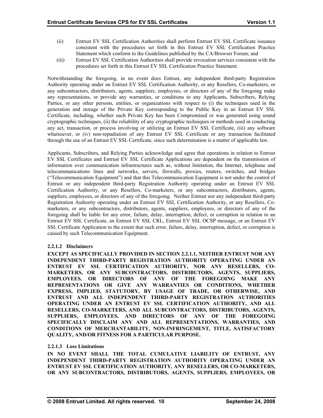- (ii) Entrust EV SSL Certification Authorities shall perform Entrust EV SSL Certificate issuance consistent with the procedures set forth in this Entrust EV SSL Certification Practice Statement which conform to the Guidelines published by the CA/Browser Forum; and
- (iii) Entrust EV SSL Certification Authorities shall provide revocation services consistent with the procedures set forth in this Entrust EV SSL Certification Practice Statement.

Notwithstanding the foregoing, in no event does Entrust, any independent third-party Registration Authority operating under an Entrust EV SSL Certification Authority, or any Resellers, Co-marketers, or any subcontractors, distributors, agents, suppliers, employees, or directors of any of the foregoing make any representations, or provide any warranties, or conditions to any Applicants, Subscribers, Relying Parties, or any other persons, entities, or organizations with respect to (i) the techniques used in the generation and storage of the Private Key corresponding to the Public Key in an Entrust EV SSL Certificate, including, whether such Private Key has been Compromised or was generated using sound cryptographic techniques, (ii) the reliability of any cryptographic techniques or methods used in conducting any act, transaction, or process involving or utilizing an Entrust EV SSL Certificate, (iii) any software whatsoever, or (iv) non-repudiation of any Entrust EV SSL Certificate or any transaction facilitated through the use of an Entrust EV SSL Certificate, since such determination is a matter of applicable law.

Applicants, Subscribers, and Relying Parties acknowledge and agree that operations in relation to Entrust EV SSL Certificates and Entrust EV SSL Certificate Applications are dependent on the transmission of information over communication infrastructures such as, without limitation, the Internet, telephone and telecommunications lines and networks, servers, firewalls, proxies, routers, switches, and bridges ("Telecommunication Equipment") and that this Telecommunication Equipment is not under the control of Entrust or any independent third-party Registration Authority operating under an Entrust EV SSL Certification Authority, or any Resellers, Co-marketers, or any subcontractors, distributors, agents, suppliers, employees, or directors of any of the foregoing. Neither Entrust nor any independent third-party Registration Authority operating under an Entrust EV SSL Certification Authority, or any Resellers, Comarketers, or any subcontractors, distributors, agents, suppliers, employees, or directors of any of the foregoing shall be liable for any error, failure, delay, interruption, defect, or corruption in relation to an Entrust EV SSL Certificate, an Entrust EV SSL CRL, Entrust EV SSL OCSP message, or an Entrust EV SSL Certificate Application to the extent that such error, failure, delay, interruption, defect, or corruption is caused by such Telecommunication Equipment.

# **2.2.1.2 Disclaimers**

**EXCEPT AS SPECIFICALLY PROVIDED IN SECTION 2.2.1.1, NEITHER ENTRUST NOR ANY INDEPENDENT THIRD-PARTY REGISTRATION AUTHORITY OPERATING UNDER AN ENTRUST EV SSL CERTIFICATION AUTHORITY, NOR ANY RESELLERS, CO-MARKETERS, OR ANY SUBCONTRACTORS, DISTRIBUTORS, AGENTS, SUPPLIERS, EMPLOYEES, OR DIRECTORS OF ANY OF THE FOREGOING MAKE ANY REPRESENTATIONS OR GIVE ANY WARRANTIES OR CONDITIONS, WHETHER EXPRESS, IMPLIED, STATUTORY, BY USAGE OF TRADE, OR OTHERWISE, AND ENTRUST AND ALL INDEPENDENT THIRD-PARTY REGISTRATION AUTHORITIES OPERATING UNDER AN ENTRUST EV SSL CERTIFICATION AUTHORITY, AND ALL RESELLERS, CO-MARKETERS, AND ALL SUBCONTRACTORS, DISTRIBUTORS, AGENTS, SUPPLIERS, EMPLOYEES, AND DIRECTORS OF ANY OF THE FOREGOING SPECIFICALLY DISCLAIM ANY AND ALL REPRESENTATIONS, WARRANTIES, AND CONDITIONS OF MERCHANTABILITY, NON-INFRINGEMENT, TITLE, SATISFACTORY QUALITY, AND/OR FITNESS FOR A PARTICULAR PURPOSE.** 

#### **2.2.1.3 Loss Limitations**

**IN NO EVENT SHALL THE TOTAL CUMULATIVE LIABILITY OF ENTRUST, ANY INDEPENDENT THIRD-PARTY REGISTRATION AUTHORITY OPERATING UNDER AN ENTRUST EV SSL CERTIFICATION AUTHORITY, ANY RESELLERS, OR CO-MARKETERS, OR ANY SUBCONTRACTORS, DISTRIBUTORS, AGENTS, SUPPLIERS, EMPLOYEES, OR**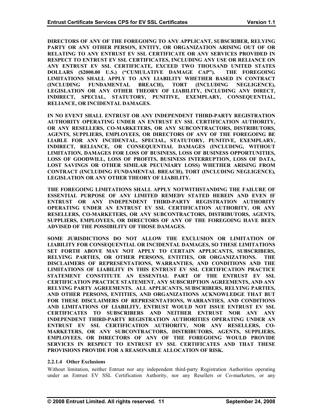**DIRECTORS OF ANY OF THE FOREGOING TO ANY APPLICANT, SUBSCRIBER, RELYING PARTY OR ANY OTHER PERSON, ENTITY, OR ORGANIZATION ARISING OUT OF OR RELATING TO ANY ENTRUST EV SSL CERTIFICATE OR ANY SERVICES PROVIDED IN RESPECT TO ENTRUST EV SSL CERTIFICATES, INCLUDING ANY USE OR RELIANCE ON ANY ENTRUST EV SSL CERTIFICATE, EXCEED TWO THOUSAND UNITED STATES DOLLARS (\$2000.00 U.S.) ("CUMULATIVE DAMAGE CAP"). THE FOREGOING LIMITATIONS SHALL APPLY TO ANY LIABILITY WHETHER BASED IN CONTRACT (INCLUDING FUNDAMENTAL BREACH), TORT (INCLUDING NEGLIGENCE), LEGISLATION OR ANY OTHER THEORY OF LIABILITY, INCLUDING ANY DIRECT, INDIRECT, SPECIAL, STATUTORY, PUNITIVE, EXEMPLARY, CONSEQUENTIAL, RELIANCE, OR INCIDENTAL DAMAGES.** 

**IN NO EVENT SHALL ENTRUST OR ANY INDEPENDENT THIRD-PARTY REGISTRATION AUTHORITY OPERATING UNDER AN ENTRUST EV SSL CERTIFICATION AUTHORITY, OR ANY RESELLERS, CO-MARKETERS, OR ANY SUBCONTRACTORS, DISTRIBUTORS, AGENTS, SUPPLIERS, EMPLOYEES, OR DIRECTORS OF ANY OF THE FOREGOING BE LIABLE FOR ANY INCIDENTAL, SPECIAL, STATUTORY, PUNITIVE, EXEMPLARY, INDIRECT, RELIANCE, OR CONSEQUENTIAL DAMAGES (INCLUDING, WITHOUT LIMITATION, DAMAGES FOR LOSS OF BUSINESS, LOSS OF BUSINESS OPPORTUNITIES, LOSS OF GOODWILL, LOSS OF PROFITS, BUSINESS INTERRUPTION, LOSS OF DATA, LOST SAVINGS OR OTHER SIMILAR PECUNIARY LOSS) WHETHER ARISING FROM CONTRACT (INCLUDING FUNDAMENTAL BREACH), TORT (INCLUDING NEGLIGENCE), LEGISLATION OR ANY OTHER THEORY OF LIABILITY.** 

**THE FOREGOING LIMITATIONS SHALL APPLY NOTWITHSTANDING THE FAILURE OF ESSENTIAL PURPOSE OF ANY LIMITED REMEDY STATED HEREIN AND EVEN IF ENTRUST OR ANY INDEPENDENT THIRD-PARTY REGISTRATION AUTHORITY OPERATING UNDER AN ENTRUST EV SSL CERTIFICATION AUTHORITY, OR ANY RESELLERS, CO-MARKETERS, OR ANY SUBCONTRACTORS, DISTRIBUTORS, AGENTS, SUPPLIERS, EMPLOYEES, OR DIRECTORS OF ANY OF THE FOREGOING HAVE BEEN ADVISED OF THE POSSIBILITY OF THOSE DAMAGES.** 

**SOME JURISDICTIONS DO NOT ALLOW THE EXCLUSION OR LIMITATION OF LIABILITY FOR CONSEQUENTIAL OR INCIDENTAL DAMAGES, SO THESE LIMITATIONS SET FORTH ABOVE MAY NOT APPLY TO CERTAIN APPLICANTS, SUBSCRIBERS, RELYING PARTIES, OR OTHER PERSONS, ENTITIES, OR ORGANIZATIONS. THE DISCLAIMERS OF REPRESENTATIONS, WARRANTIES, AND CONDITIONS AND THE LIMITATIONS OF LIABILITY IN THIS ENTRUST EV SSL CERTIFICATION PRACTICE STATEMENT CONSTITUTE AN ESSENTIAL PART OF THE ENTRUST EV SSL CERTIFICATION PRACTICE STATEMENT, ANY SUBSCRIPTION AGREEMENTS, AND ANY RELYING PARTY AGREEMENTS. ALL APPLICANTS, SUBSCRIBERS, RELYING PARTIES, AND OTHER PERSONS, ENTITIES, AND ORGANIZATIONS ACKNOWLEDGE THAT BUT FOR THESE DISCLAIMERS OF REPRESENTATIONS, WARRANTIES, AND CONDITIONS AND LIMITATIONS OF LIABILITY, ENTRUST WOULD NOT ISSUE ENTRUST EV SSL CERTIFICATES TO SUBSCRIBERS AND NEITHER ENTRUST NOR ANY ANY INDEPENDENT THIRD-PARTY REGISTRATION AUTHORITIES OPERATING UNDER AN ENTRUST EV SSL CERTIFICATION AUTHORITY, NOR ANY RESELLERS, CO-MARKETERS, OR ANY SUBCONTRACTORS, DISTRIBUTORS, AGENTS, SUPPLIERS, EMPLOYEES, OR DIRECTORS OF ANY OF THE FOREGOING WOULD PROVIDE SERVICES IN RESPECT TO ENTRUST EV SSL CERTIFICATES AND THAT THESE PROVISIONS PROVIDE FOR A REASONABLE ALLOCATION OF RISK.** 

#### **2.2.1.4 Other Exclusions**

Without limitation, neither Entrust nor any independent third-party Registration Authorities operating under an Entrust EV SSL Certification Authority, nor any Resellers or Co-marketers, or any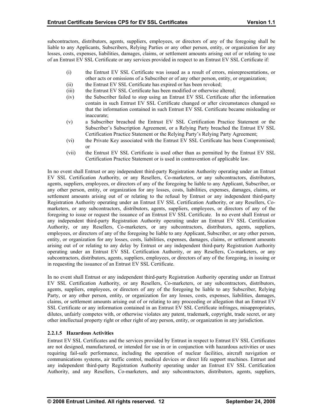subcontractors, distributors, agents, suppliers, employees, or directors of any of the foregoing shall be liable to any Applicants, Subscribers, Relying Parties or any other person, entity, or organization for any losses, costs, expenses, liabilities, damages, claims, or settlement amounts arising out of or relating to use of an Entrust EV SSL Certificate or any services provided in respect to an Entrust EV SSL Certificate if:

- (i) the Entrust EV SSL Certificate was issued as a result of errors, misrepresentations, or other acts or omissions of a Subscriber or of any other person, entity, or organization;
- (ii) the Entrust EV SSL Certificate has expired or has been revoked;
- (iii) the Entrust EV SSL Certificate has been modified or otherwise altered;
- (iv) the Subscriber failed to stop using an Entrust EV SSL Certificate after the information contain in such Entrust EV SSL Certificate changed or after circumstances changed so that the information contained in such Entrust EV SSL Certificate became misleading or inaccurate;
- (v) Certification Practice Statement or the Relying Party's Relying Party Agreement; a Subscriber breached the Entrust EV SSL Certification Practice Statement or the Subscriber's Subscription Agreement, or a Relying Party breached the Entrust EV SSL
- (vi) the Private Key associated with the Entrust EV SSL Certificate has been Compromised; or
- (vii) the Entrust EV SSL Certificate is used other than as permitted by the Entrust EV SSL Certification Practice Statement or is used in contravention of applicable law.

In no event shall Entrust or any independent third-party Registration Authority operating under an Entrust EV SSL Certification Authority, or any Resellers, Co-marketers, or any subcontractors, distributors, agents, suppliers, employees, or directors of any of the foregoing be liable to any Applicant, Subscriber, or any other person, entity, or organization for any losses, costs, liabilities, expenses, damages, claims, or settlement amounts arising out of or relating to the refusal by Entrust or any independent third-party Registration Authority operating under an Entrust EV SSL Certification Authority, or any Resellers, Comarketers, or any subcontractors, distributors, agents, suppliers, employees, or directors of any of the foregoing to issue or request the issuance of an Entrust EV SSL Certificate. In no event shall Entrust or any independent third-party Registration Authority operating under an Entrust EV SSL Certification Authority, or any Resellers, Co-marketers, or any subcontractors, distributors, agents, suppliers, employees, or directors of any of the foregoing be liable to any Applicant, Subscriber, or any other person, entity, or organization for any losses, costs, liabilities, expenses, damages, claims, or settlement amounts arising out of or relating to any delay by Entrust or any independent third-party Registration Authority operating under an Entrust EV SSL Certification Authority, or any Resellers, Co-marketers, or any subcontractors, distributors, agents, suppliers, employees, or directors of any of the foregoing, in issuing or in requesting the issuance of an Entrust EV SSL Certificate.

EV SSL Certification Authority, or any Resellers, Co-marketers, or any subcontractors, distributors, agents, suppliers, employees, or directors of any of the foregoing be liable to any Subscriber, Relying In no event shall Entrust or any independent third-party Registration Authority operating under an Entrust Party, or any other person, entity, or organization for any losses, costs, expenses, liabilities, damages, claims, or settlement amounts arising out of or relating to any proceeding or allegation that an Entrust EV SSL Certificate or any information contained in an Entrust EV SSL Certificate infringes, misappropriates, dilutes, unfairly competes with, or otherwise violates any patent, trademark, copyright, trade secret, or any other intellectual property right or other right of any person, entity, or organization in any jurisdiction.

# **2.2.1.5 Hazardous Activities**

Entrust EV SSL Certificates and the services provided by Entrust in respect to Entrust EV SSL Certificates are not designed, manufactured, or intended for use in or in conjunction with hazardous activities or uses requiring fail-safe performance, including the operation of nuclear facilities, aircraft navigation or communications systems, air traffic control, medical devices or direct life support machines. Entrust and any independent third-party Registration Authority operating under an Entrust EV SSL Certification Authority, and any Resellers, Co-marketers, and any subcontractors, distributors, agents, suppliers,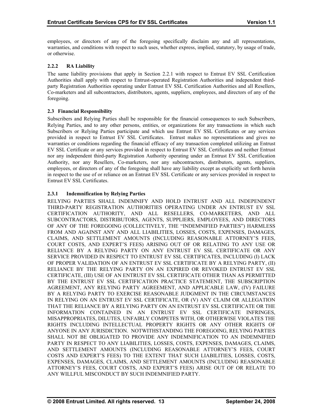<span id="page-18-0"></span>employees, or directors of any of the foregoing specifically disclaim any and all representations, warranties, and conditions with respect to such uses, whether express, implied, statutory, by usage of trade, or otherwise.

# **2.2.2 RA Liability**

The same liability provisions that apply in Section 2.2.1 with respect to Entrust EV SSL Certification Authorities shall apply with respect to Entrust-operated Registration Authorities and independent thirdparty Registration Authorities operating under Entrust EV SSL Certification Authorities and all Resellers, Co-marketers and all subcontractors, distributors, agents, suppliers, employees, and directors of any of the foregoing.

### **2.3 Financial Responsibility**

Subscribers and Relying Parties shall be responsible for the financial consequences to such Subscribers, Relying Parties, and to any other persons, entities, or organizations for any transactions in which such Subscribers or Relying Parties participate and which use Entrust EV SSL Certificates or any services provided in respect to Entrust EV SSL Certificates. Entrust makes no representations and gives no warranties or conditions regarding the financial efficacy of any transaction completed utilizing an Entrust EV SSL Certificate or any services provided in respect to Entrust EV SSL Certificates and neither Entrust nor any independent third-party Registration Authority operating under an Entrust EV SSL Certification Authority, nor any Resellers, Co-marketers, nor any subcontractors, distributors, agents, suppliers, employees, or directors of any of the foregoing shall have any liability except as explicitly set forth herein in respect to the use of or reliance on an Entrust EV SSL Certificate or any services provided in respect to Entrust EV SSL Certificates.

### **2.3.1 Indemnification by Relying Parties**

RELYING PARTIES SHALL INDEMNIFY AND HOLD ENTRUST AND ALL INDEPENDENT THIRD-PARTY REGISTRATION AUTHORITIES OPERATING UNDER AN ENTRUST EV SSL CERTIFICATION AUTHORITY, AND ALL RESELLERS, CO-MARKETERS, AND ALL SUBCONTRACTORS, DISTRIBUTORS, AGENTS, SUPPLIERS, EMPLOYEES, AND DIRECTORS OF ANY OF THE FOREGOING (COLLECTIVELY, THE "INDEMNIFIED PARTIES") HARMLESS FROM AND AGAINST ANY AND ALL LIABILITIES, LOSSES, COSTS, EXPENSES, DAMAGES, CLAIMS, AND SETTLEMENT AMOUNTS (INCLUDING REASONABLE ATTORNEY'S FEES, COURT COSTS, AND EXPERT'S FEES) ARISING OUT OF OR RELATING TO ANY USE OR RELIANCE BY A RELYING PARTY ON ANY ENTRUST EV SSL CERTIFICATE OR ANY SERVICE PROVIDED IN RESPECT TO ENTRUST EV SSL CERTIFICATES, INCLUDING (I) LACK OF PROPER VALIDATION OF AN ENTRUST EV SSL CERTIFICATE BY A RELYING PARTY, (II) RELIANCE BY THE RELYING PARTY ON AN EXPIRED OR REVOKED ENTRUST EV SSL CERTIFICATE, (III) USE OF AN ENTRUST EV SSL CERTIFICATE OTHER THAN AS PERMITTED BY THE ENTRUST EV SSL CERTIFICATION PRACTICE STATEMENT, THE SUBSCRIPTION AGREEMENT, ANY RELYING PARTY AGREEMENT, AND APPLICABLE LAW, (IV) FAILURE BY A RELYING PARTY TO EXERCISE REASONABLE JUDGMENT IN THE CIRCUMSTANCES IN RELYING ON AN ENTRUST EV SSL CERTIFICATE, OR (V) ANY CLAIM OR ALLEGATION THAT THE RELIANCE BY A RELYING PARTY ON AN ENTRUST EV SSL CERTIFICATE OR THE INFORMATION CONTAINED IN AN ENTRUST EV SSL CERTIFICATE INFRINGES, MISAPPROPRIATES, DILUTES, UNFAIRLY COMPETES WITH, OR OTHERWISE VIOLATES THE RIGHTS INCLUDING INTELLECTUAL PROPERTY RIGHTS OR ANY OTHER RIGHTS OF ANYONE IN ANY JURISDICTION. NOTWITHSTANDING THE FOREGOING, RELYING PARTIES SHALL NOT BE OBLIGATED TO PROVIDE ANY INDEMNIFICATION TO AN INDEMNIFIED PARTY IN RESPECT TO ANY LIABILITIES, LOSSES, COSTS, EXPENSES, DAMAGES, CLAIMS, AND SETTLEMENT AMOUNTS (INCLUDING REASONABLE ATTORNEY'S FEES, COURT COSTS AND EXPERT'S FEES) TO THE EXTENT THAT SUCH LIABILITIES, LOSSES, COSTS, EXPENSES, DAMAGES, CLAIMS, AND SETTLEMENT AMOUNTS (INCLUDING REASONABLE ATTORNEY'S FEES, COURT COSTS, AND EXPERT'S FEES) ARISE OUT OF OR RELATE TO ANY WILLFUL MISCONDUCT BY SUCH INDEMNIFIED PARTY.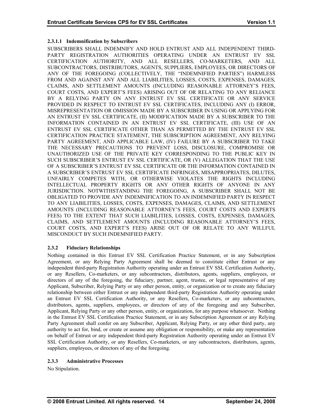# <span id="page-19-0"></span>**2.3.1.1 Indemnification by Subscribers**

SUBSCRIBERS SHALL INDEMNIFY AND HOLD ENTRUST AND ALL INDEPENDENT THIRD-PARTY REGISTRATION AUTHORITIES OPERATING UNDER AN ENTRUST EV SSL CERTIFICATION AUTHORITY, AND ALL RESELLERS, CO-MARKETERS, AND ALL SUBCONTRACTORS, DISTRIBUTORS, AGENTS, SUPPLIERS, EMPLOYEES, OR DIRECTORS OF ANY OF THE FOREGOING (COLLECTIVELY, THE "INDEMNIFIED PARTIES") HARMLESS FROM AND AGAINST ANY AND ALL LIABILITIES, LOSSES, COSTS, EXPENSES, DAMAGES, CLAIMS, AND SETTLEMENT AMOUNTS (INCLUDING REASONABLE ATTORNEY'S FEES, COURT COSTS, AND EXPERT'S FEES) ARISING OUT OF OR RELATING TO ANY RELIANCE BY A RELYING PARTY ON ANY ENTRUST EV SSL CERTIFICATE OR ANY SERVICE PROVIDED IN RESPECT TO ENTRUST EV SSL CERTIFICATES, INCLUDING ANY (I) ERROR, MISREPRESENTATION OR OMISSION MADE BY A SUBSCRIBER IN USING OR APPLYING FOR AN ENTRUST EV SSL CERTIFICATE, (II) MODIFICATION MADE BY A SUBSCRIBER TO THE INFORMATION CONTAINED IN AN ENTRUST EV SSL CERTIFICATE, (III) USE OF AN ENTRUST EV SSL CERTIFICATE OTHER THAN AS PERMITTED BY THE ENTRUST EV SSL CERTIFICATION PRACTICE STATEMENT, THE SUBSCRIPTION AGREEMENT, ANY RELYING PARTY AGREEMENT, AND APPLICABLE LAW, (IV) FAILURE BY A SUBSCRIBER TO TAKE THE NECESSARY PRECAUTIONS TO PREVENT LOSS, DISCLOSURE, COMPROMISE OR UNAUTHORIZED USE OF THE PRIVATE KEY CORRESPONDING TO THE PUBLIC KEY IN SUCH SUBSCRIBER'S ENTRUST EV SSL CERTIFICATE, OR (V) ALLEGATION THAT THE USE OF A SUBSCRIBER'S ENTRUST EV SSL CERTIFICATE OR THE INFORMATION CONTAINED IN A SUBSCRIBER'S ENTRUST EV SSL CERTIFICATE INFRINGES, MISAPPROPRIATES, DILUTES, UNFAIRLY COMPETES WITH, OR OTHERWISE VIOLATES THE RIGHTS INCLUDING INTELLECTUAL PROPERTY RIGHTS OR ANY OTHER RIGHTS OF ANYONE IN ANY JURISDICTION. NOTWITHSTANDING THE FOREGOING, A SUBSCRIBER SHALL NOT BE OBLIGATED TO PROVIDE ANY INDEMNIFICATION TO AN INDEMNIFIED PARTY IN RESPECT TO ANY LIABILITIES, LOSSES, COSTS, EXPENSES, DAMAGES, CLAIMS, AND SETTLEMENT AMOUNTS (INCLUDING REASONABLE ATTORNEY'S FEES, COURT COSTS AND EXPERTS FEES) TO THE EXTENT THAT SUCH LIABILITIES, LOSSES, COSTS, EXPENSES, DAMAGES, CLAIMS, AND SETTLEMENT AMOUNTS (INCLUDING REASONABLE ATTORNEY'S FEES, COURT COSTS, AND EXPERT'S FEES) ARISE OUT OF OR RELATE TO ANY WILLFUL MISCONDUCT BY SUCH INDEMNIFIED PARTY.

# **2.3.2 Fiduciary Relationships**

Agreement, or any Relying Party Agreement shall be deemed to constitute either Entrust or any independent third-party Registration Authority operating under an Entrust EV SSL Certification Authority, or any Resellers, Co-marketers, or any subcontractors, distributors, agents, suppliers, employees, or Nothing contained in this Entrust EV SSL Certification Practice Statement, or in any Subscription directors of any of the foregoing, the fiduciary, partner, agent, trustee, or legal representative of any Applicant, Subscriber, Relying Party or any other person, entity, or organization or to create any fiduciary relationship between either Entrust or any independent third-party Registration Authority operating under an Entrust EV SSL Certification Authority, or any Resellers, Co-marketers, or any subcontractors, distributors, agents, suppliers, employees, or directors of any of the foregoing and any Subscriber, Applicant, Relying Party or any other person, entity, or organization, for any purpose whatsoever. Nothing in the Entrust EV SSL Certification Practice Statement, or in any Subscription Agreement or any Relying Party Agreement shall confer on any Subscriber, Applicant, Relying Party, or any other third party, any authority to act for, bind, or create or assume any obligation or responsibility, or make any representation on behalf of Entrust or any independent third-party Registration Authority operating under an Entrust EV SSL Certification Authority, or any Resellers, Co-marketers, or any subcontractors, distributors, agents, suppliers, employees, or directors of any of the foregoing.

# **2.3.3 Administrative Processes**

No Stipulation.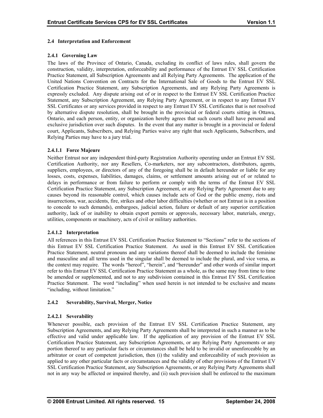#### <span id="page-20-0"></span>**2.4 Interpretation and Enforcement**

### **2.4.1 Governing Law**

The laws of the Province of Ontario, Canada, excluding its conflict of laws rules, shall govern the construction, validity, interpretation, enforceability and performance of the Entrust EV SSL Certification Practice Statement, all Subscription Agreements and all Relying Party Agreements. The application of the United Nations Convention on Contracts for the International Sale of Goods to the Entrust EV SSL Certification Practice Statement, any Subscription Agreements, and any Relying Party Agreements is expressly excluded. Any dispute arising out of or in respect to the Entrust EV SSL Certification Practice Statement, any Subscription Agreement, any Relying Party Agreement, or in respect to any Entrust EV SSL Certificates or any services provided in respect to any Entrust EV SSL Certificates that is not resolved by alternative dispute resolution, shall be brought in the provincial or federal courts sitting in Ottawa, Ontario, and each person, entity, or organization hereby agrees that such courts shall have personal and exclusive jurisdiction over such disputes. In the event that any matter is brought in a provincial or federal court, Applicants, Subscribers, and Relying Parties waive any right that such Applicants, Subscribers, and Relying Parties may have to a jury trial.

### **2.4.1.1 Force Majeure**

Certification Authority, nor any Resellers, Co-marketers, nor any subcontractors, distributors, agents, suppliers, employees, or directors of any of the foregoing shall be in default hereunder or liable for any losses, costs, expenses, liabilities, damages, claims, or settlement amounts arising out of or related to Neither Entrust nor any independent third-party Registration Authority operating under an Entrust EV SSL delays in performance or from failure to perform or comply with the terms of the Entrust EV SSL Certification Practice Statement, any Subscription Agreement, or any Relying Party Agreement due to any causes beyond its reasonable control, which causes include acts of God or the public enemy, riots and insurrections, war, accidents, fire, strikes and other labor difficulties (whether or not Entrust is in a position to concede to such demands), embargoes, judicial action, failure or default of any superior certification authority, lack of or inability to obtain export permits or approvals, necessary labor, materials, energy, utilities, components or machinery, acts of civil or military authorities.

#### **2.4.1.2 Interpretation**

this Entrust EV SSL Certification Practice Statement. As used in this Entrust EV SSL Certification Practice Statement, neutral pronouns and any variations thereof shall be deemed to include the feminine and masculine and all terms used in the singular shall be deemed to include the plural, and vice versa, as All references in this Entrust EV SSL Certification Practice Statement to "Sections" refer to the sections of the context may require. The words "hereof", "herein", and "hereunder" and other words of similar import refer to this Entrust EV SSL Certification Practice Statement as a whole, as the same may from time to time be amended or supplemented, and not to any subdivision contained in this Entrust EV SSL Certification Practice Statement. The word "including" when used herein is not intended to be exclusive and means "including, without limitation."

# **2.4.2 Severability, Survival, Merger, Notice**

# **2.4.2.1 Severability**

Whenever possible, each provision of the Entrust EV SSL Certification Practice Statement, any Subscription Agreements, and any Relying Party Agreements shall be interpreted in such a manner as to be effective and valid under applicable law. If the application of any provision of the Entrust EV SSL Certification Practice Statement, any Subscription Agreements, or any Relying Party Agreements or any portion thereof to any particular facts or circumstances shall be held to be invalid or unenforceable by an arbitrator or court of competent jurisdiction, then (i) the validity and enforceability of such provision as applied to any other particular facts or circumstances and the validity of other provisions of the Entrust EV SSL Certification Practice Statement, any Subscription Agreements, or any Relying Party Agreements shall not in any way be affected or impaired thereby, and (ii) such provision shall be enforced to the maximum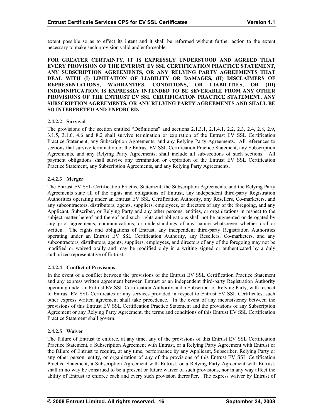extent possible so as to effect its intent and it shall be reformed without further action to the extent necessary to make such provision valid and enforceable.

**FOR GREATER CERTAINTY, IT IS EXPRESSLY UNDERSTOOD AND AGREED THAT EVERY PROVISION OF THE ENTRUST EV SSL CERTIFICATION PRACTICE STATEMENT, ANY SUBSCRIPTION AGREEMENTS, OR ANY RELYING PARTY AGREEMENTS THAT DEAL WITH (I) LIMITATION OF LIABILITY OR DAMAGES, (II) DISCLAIMERS OF REPRESENTATIONS, WARRANTIES, CONDITIONS, OR LIABILITIES, OR (III) INDEMNIFICATION, IS EXPRESSLY INTENDED TO BE SEVERABLE FROM ANY OTHER PROVISIONS OF THE ENTRUST EV SSL CERTIFICATION PRACTICE STATEMENT, ANY SUBSCRIPTION AGREEMENTS, OR ANY RELYING PARTY AGREEMENTS AND SHALL BE SO INTERPRETED AND ENFORCED.** 

# **2.4.2.2 Survival**

3.1.5, 3.1.6, 4.6 and 8.2 shall survive termination or expiration of the Entrust EV SSL Certification Practice Statement, any Subscription Agreements, and any Relying Party Agreements. All references to sections that survive termination of the Entrust EV SSL Certification Practice Statement, any Subscription The provisions of the section entitled "Definitions" and sections 2.1.3.1, 2.1.4.1, 2.2, 2.3, 2.4, 2.8, 2.9, Agreements, and any Relying Party Agreements, shall include all sub-sections of such sections. All payment obligations shall survive any termination or expiration of the Entrust EV SSL Certification Practice Statement, any Subscription Agreements, and any Relying Party Agreements.

# **2.4.2.3 Merger**

Agreements state all of the rights and obligations of Entrust, any independent third-party Registration Authorities operating under an Entrust EV SSL Certification Authority, any Resellers, Co-marketers, and any subcontractors, distributors, agents, suppliers, employees, or directors of any of the foregoing, and any The Entrust EV SSL Certification Practice Statement, the Subscription Agreements, and the Relying Party Applicant, Subscriber, or Relying Party and any other persons, entities, or organizations in respect to the subject matter hereof and thereof and such rights and obligations shall not be augmented or derogated by any prior agreements, communications, or understandings of any nature whatsoever whether oral or written. The rights and obligations of Entrust, any independent third-party Registration Authorities operating under an Entrust EV SSL Certification Authority, any Resellers, Co-marketers, and any subcontractors, distributors, agents, suppliers, employees, and directors of any of the foregoing may not be modified or waived orally and may be modified only in a writing signed or authenticated by a duly authorized representative of Entrust.

# **2.4.2.4 Conflict of Provisions**

and any express written agreement between Entrust or an independent third-party Registration Authority operating under an Entrust EV SSL Certification Authority and a Subscriber or Relying Party, with respect to Entrust EV SSL Certificates or any services provided in respect to Entrust EV SSL Certificates, such In the event of a conflict between the provisions of the Entrust EV SSL Certification Practice Statement other express written agreement shall take precedence. In the event of any inconsistency between the provisions of this Entrust EV SSL Certification Practice Statement and the provisions of any Subscription Agreement or any Relying Party Agreement, the terms and conditions of this Entrust EV SSL Certification Practice Statement shall govern.

# **2.4.2.5 Waiver**

Practice Statement, a Subscription Agreement with Entrust, or a Relying Party Agreement with Entrust or the failure of Entrust to require, at any time, performance by any Applicant, Subscriber, Relying Party or any other person, entity, or organization of any of the provisions of this Entrust EV SSL Certification The failure of Entrust to enforce, at any time, any of the provisions of this Entrust EV SSL Certification Practice Statement, a Subscription Agreement with Entrust, or a Relying Party Agreement with Entrust, shall in no way be construed to be a present or future waiver of such provisions, nor in any way affect the ability of Entrust to enforce each and every such provision thereafter. The express waiver by Entrust of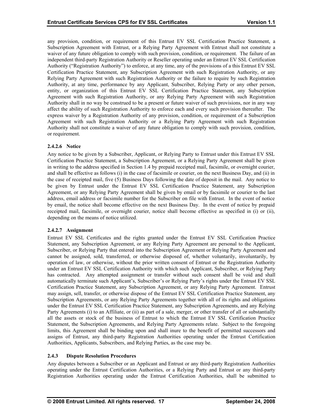any provision, condition, or requirement of this Entrust EV SSL Certification Practice Statement, a Subscription Agreement with Entrust, or a Relying Party Agreement with Entrust shall not constitute a waiver of any future obligation to comply with such provision, condition, or requirement. The failure of an independent third-party Registration Authority or Reseller operating under an Entrust EV SSL Certification Authority ("Registration Authority") to enforce, at any time, any of the provisions of a this Entrust EV SSL Certification Practice Statement, any Subscription Agreement with such Registration Authority, or any Relying Party Agreement with such Registration Authority or the failure to require by such Registration Authority, at any time, performance by any Applicant, Subscriber, Relying Party or any other person, entity, or organization of this Entrust EV SSL Certification Practice Statement, any Subscription Agreement with such Registration Authority, or any Relying Party Agreement with such Registration Authority shall in no way be construed to be a present or future waiver of such provisions, nor in any way affect the ability of such Registration Authority to enforce each and every such provision thereafter. The express waiver by a Registration Authority of any provision, condition, or requirement of a Subscription Agreement with such Registration Authority or a Relying Party Agreement with such Registration Authority shall not constitute a waiver of any future obligation to comply with such provision, condition, or requirement.

### **2.4.2.6 Notice**

Any notice to be given by a Subscriber, Applicant, or Relying Party to Entrust under this Entrust EV SSL Certification Practice Statement, a Subscription Agreement, or a Relying Party Agreement shall be given in writing to the address specified in Section 1.4 by prepaid receipted mail, facsimile, or overnight courier, and shall be effective as follows (i) in the case of facsimile or courier, on the next Business Day, and (ii) in the case of receipted mail, five (5) Business Days following the date of deposit in the mail. Any notice to be given by Entrust under the Entrust EV SSL Certification Practice Statement, any Subscription Agreement, or any Relying Party Agreement shall be given by email or by facsimile or courier to the last address, email address or facsimile number for the Subscriber on file with Entrust. In the event of notice by email, the notice shall become effective on the next Business Day. In the event of notice by prepaid receipted mail, facsimile, or overnight courier, notice shall become effective as specified in (i) or (ii), depending on the means of notice utilized.

#### **2.4.2.7 Assignment**

Statement, any Subscription Agreement, or any Relying Party Agreement are personal to the Applicant, Subscriber, or Relying Party that entered into the Subscription Agreement or Relying Party Agreement and cannot be assigned, sold, transferred, or otherwise disposed of, whether voluntarily, involuntarily, by Entrust EV SSL Certificates and the rights granted under the Entrust EV SSL Certification Practice operation of law, or otherwise, without the prior written consent of Entrust or the Registration Authority under an Entrust EV SSL Certification Authority with which such Applicant, Subscriber, or Relying Party has contracted. Any attempted assignment or transfer without such consent shall be void and shall automatically terminate such Applicant's, Subscriber's or Relying Party's rights under the Entrust EV SSL Certification Practice Statement, any Subscription Agreement, or any Relying Party Agreement. Entrust may assign, sell, transfer, or otherwise dispose of the Entrust EV SSL Certification Practice Statement, any Subscription Agreements, or any Relying Party Agreements together with all of its rights and obligations under the Entrust EV SSL Certification Practice Statement, any Subscription Agreements, and any Relying Party Agreements (i) to an Affiliate, or (ii) as part of a sale, merger, or other transfer of all or substantially all the assets or stock of the business of Entrust to which the Entrust EV SSL Certification Practice Statement, the Subscription Agreements, and Relying Party Agreements relate. Subject to the foregoing limits, this Agreement shall be binding upon and shall inure to the benefit of permitted successors and assigns of Entrust, any third-party Registration Authorities operating under the Entrust Certification Authorities, Applicants, Subscribers, and Relying Parties, as the case may be.

#### **2.4.3 Dispute Resolution Procedures**

operating under the Entrust Certification Authorities, or a Relying Party and Entrust or any third-party Registration Authorities operating under the Entrust Certification Authorities, shall be submitted to Any disputes between a Subscriber or an Applicant and Entrust or any third-party Registration Authorities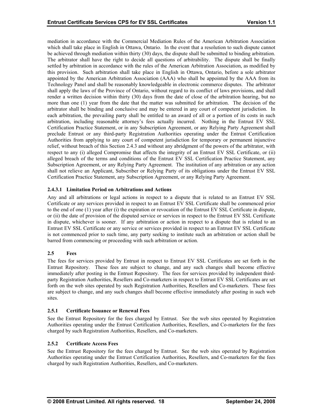<span id="page-23-0"></span>mediation in accordance with the Commercial Mediation Rules of the American Arbitration Association which shall take place in English in Ottawa, Ontario. In the event that a resolution to such dispute cannot be achieved through mediation within thirty (30) days, the dispute shall be submitted to binding arbitration. The arbitrator shall have the right to decide all questions of arbitrability. The dispute shall be finally settled by arbitration in accordance with the rules of the American Arbitration Association, as modified by this provision. Such arbitration shall take place in English in Ottawa, Ontario, before a sole arbitrator appointed by the American Arbitration Association (AAA) who shall be appointed by the AAA from its Technology Panel and shall be reasonably knowledgeable in electronic commerce disputes. The arbitrator shall apply the laws of the Province of Ontario, without regard to its conflict of laws provisions, and shall render a written decision within thirty (30) days from the date of close of the arbitration hearing, but no more than one (1) year from the date that the matter was submitted for arbitration. The decision of the arbitrator shall be binding and conclusive and may be entered in any court of competent jurisdiction. In each arbitration, the prevailing party shall be entitled to an award of all or a portion of its costs in such arbitration, including reasonable attorney's fees actually incurred. Nothing in the Entrust EV SSL Certification Practice Statement, or in any Subscription Agreement, or any Relying Party Agreement shall preclude Entrust or any third-party Registration Authorities operating under the Entrust Certification Authorities from applying to any court of competent jurisdiction for temporary or permanent injunctive relief, without breach of this Section 2.4.3 and without any abridgment of the powers of the arbitrator, with respect to any (i) alleged Compromise that affects the integrity of an Entrust EV SSL Certificate, or (ii) alleged breach of the terms and conditions of the Entrust EV SSL Certification Practice Statement, any Subscription Agreement, or any Relying Party Agreement. The institution of any arbitration or any action shall not relieve an Applicant, Subscriber or Relying Party of its obligations under the Entrust EV SSL Certification Practice Statement, any Subscription Agreement, or any Relying Party Agreement.

# **2.4.3.1 Limitation Period on Arbitrations and Actions**

Certificate or any services provided in respect to an Entrust EV SSL Certificate shall be commenced prior to the end of one (1) year after (i) the expiration or revocation of the Entrust EV SSL Certificate in dispute, or (ii) the date of provision of the disputed service or services in respect to the Entrust EV SSL Certificate Any and all arbitrations or legal actions in respect to a dispute that is related to an Entrust EV SSL in dispute, whichever is sooner. If any arbitration or action in respect to a dispute that is related to an Entrust EV SSL Certificate or any service or services provided in respect to an Entrust EV SSL Certificate is not commenced prior to such time, any party seeking to institute such an arbitration or action shall be barred from commencing or proceeding with such arbitration or action.

# **2.5 Fees**

Entrust Repository. These fees are subject to change, and any such changes shall become effective immediately after posting in the Entrust Repository. The fees for services provided by independent thirdparty Registration Authorities, Resellers and Co-marketers in respect to Entrust EV SSL Certificates are set The fees for services provided by Entrust in respect to Entrust EV SSL Certificates are set forth in the forth on the web sites operated by such Registration Authorities, Resellers and Co-marketers. These fees are subject to change, and any such changes shall become effective immediately after posting in such web sites.

# **2.5.1 Certificate Issuance or Renewal Fees**

Authorities operating under the Entrust Certification Authorities, Resellers, and Co-marketers for the fees charged by such Registration Authorities, Resellers, and Co-marketers. See the Entrust Repository for the fees charged by Entrust. See the web sites operated by Registration

# **2.5.2 Certificate Access Fees**

Authorities operating under the Entrust Certification Authorities, Resellers, and Co-marketers for the fees charged by such Registration Authorities, Resellers, and Co-marketers. See the Entrust Repository for the fees charged by Entrust. See the web sites operated by Registration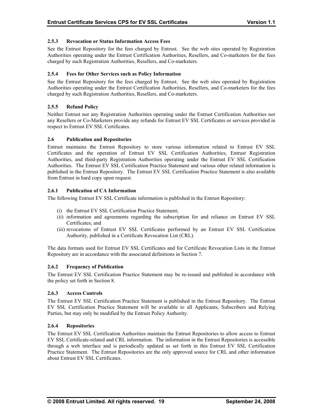# <span id="page-24-0"></span>**2.5.3 Revocation or Status Information Access Fees**

See the Entrust Repository for the fees charged by Entrust. See the web sites operated by Registration Authorities operating under the Entrust Certification Authorities, Resellers, and Co-marketers for the fees charged by such Registration Authorities, Resellers, and Co-marketers.

### **ion 2.5.4 Fees for Other Services such as Policy Informat**

See the Entrust Repository for the fees charged by Entrust. See the web sites operated by Registration Authorities operating under the Entrust Certification Authorities, Resellers, and Co-marketers for the fees charged by such Registration Authorities, Resellers, and Co-marketers.

### **2.5.5 Refund Policy**

Neither Entrust nor any Registration Authorities operating under the Entrust Certification Authorities nor any Resellers or Co-Marketers provide any refunds for Entrust EV SSL Certificates or services provided in respect to Entrust EV SSL Certificates.

# **positories 2.6 Publication and Re**

Authorities, and third-party Registration Authorities operating under the Entrust EV SSL Certification Authorities. The Entrust EV SSL Certification Practice Statement and various other related information is published in the Entrust Repository. The Entrust EV SSL Certification Practice Statement is also available Entrust maintains the Entrust Repository to store various information related to Entrust EV SSL Certificates and the operation of Entrust EV SSL Certification Authorities, Entrust Registration from Entrust in hard copy upon request.

### **2.6.1 Publication of CA Information**

The following Entrust EV SSL Certificate information is published in the Entrust Repository:

- (i) the Entrust EV SSL Certification Practice Statement;
- (ii) information and agreements regarding the subscription for and reliance on Entrust EV SSL Certificates; and
- (iii) revocations of Entrust EV SSL Certificates performed by an Entrust EV SSL Certification Authority, published in a Certificate Revocation List (CRL).

The data formats used for Entrust EV SSL Certificates and for Certificate Revocation Lists in the Entrust Repository are in accordance with the associated definitions in Section 7.

#### **2.6.2 Frequency of Publication**

The Entrust EV SSL Certification Practice Statement may be re-issued and published in accordance with the policy set forth in Section 8.

#### **2.6.3 Access Controls**

The Entrust EV SSL Certification Practice Statement is published in the Entrust Repository. The Entrust Parties, but may only be modified by the Entrust Policy Authority. EV SSL Certification Practice Statement will be available to all Applicants, Subscribers and Relying

#### **2.6.4 Repositories**

through a web interface and is periodically updated as set forth in this Entrust EV SSL Certification Practice Statement. The Entrust Repositories are the only approved source for CRL and other information about Entrust EV SSL Certificates. The Entrust EV SSL Certification Authorities maintain the Entrust Repositories to allow access to Entrust EV SSL Certificate-related and CRL information. The information in the Entrust Repositories is accessible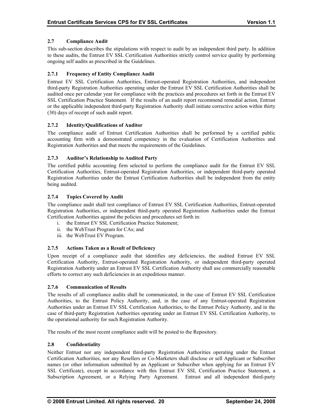# <span id="page-25-0"></span>**2.7 Compliance Audit**

This sub-section describes the stipulations with respect to audit by an independent third party. In addition to these audits, the Entrust EV SSL Certification Authorities strictly control service quality by performing ongoing self audits as prescribed in the Guidelines.

### **2.7.1 Frequency of Entity Compliance Audit**

third-party Registration Authorities operating under the Entrust EV SSL Certification Authorities shall be audited once per calendar year for compliance with the practices and procedures set forth in the Entrust EV SSL Certification Practice Statement. If the results of an audit report recommend remedial action, Entrust Entrust EV SSL Certification Authorities, Entrust-operated Registration Authorities, and independent or the applicable independent third-party Registration Authority shall initiate corrective action within thirty (30) days of receipt of such audit report.

### **2.7.2 Identity/Qualifications of Auditor**

accounting firm with a demonstrated competency in the evaluation of Certification Authorities and Registration Authorities and that meets the requirements of the Guidelines. The compliance audit of Entrust Certification Authorities shall be performed by a certified public

### **2.7.3 Auditor's Relationship to Audited Party**

Certification Authorities, Entrust-operated Registration Authorities, or independent third-party operated Registration Authorities under the Entrust Certification Authorities shall be independent from the entity The certified public accounting firm selected to perform the compliance audit for the Entrust EV SSL being audited.

### **2.7.4 Topics Covered by Audit**

Registration Authorities, or independent third-party operated Registration Authorities under the Entrust Certification Authorities against the policies and procedures set forth in: The compliance audit shall test compliance of Entrust EV SSL Certification Authorities, Entrust-operated

- i. the Entrust EV SSL Certification Practice Statement;
- ii. the WebTrust Program for CAs; and
- iii. the WebTrust EV Program.

#### **2.7. 5 Actions Taken as a Result of Deficiency**

Upon receipt of a compliance audit that identifies any deficiencies, the audited Entrust EV SSL Certification Authority, Entrust-operated Registration Authority, or independent third-party operated Registration Authority under an Entrust EV SSL Certification Authority shall use commercially reasonable efforts to correct any such deficiencies in an expeditious manner.

#### **2.7.6 Communication of Results**

Authorities, to the Entrust Policy Authority, and, in the case of any Entrust-operated Registration Authorities under an Entrust EV SSL Certification Authorities, to the Entrust Policy Authority, and in the case of third-party Registration Authorities operating under an Entrust EV SSL Certification Authority, to The results of all compliance audits shall be communicated, in the case of Entrust EV SSL Certification the operational authority for such Registration Authority.

The results of the most recent compliance audit will be posted to the Repository.

#### **2.8 Confidentiality**

Neither Entrust nor any independent third-party Registration Authorities operating under the Entrust Certification Authorities, nor any Resellers or Co-Marketers shall disclose or sell Applicant or Subscriber names (or other information submitted by an Applicant or Subscriber when applying for an Entrust EV SSL Certificate), except in accordance with this Entrust EV SSL Certification Practice Statement, a Subscription Agreement, or a Relying Party Agreement. Entrust and all independent third-party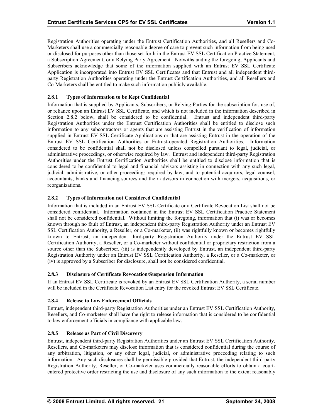<span id="page-26-0"></span>Registration Authorities operating under the Entrust Certification Authorities, and all Resellers and Co-Marketers shall use a commercially reasonable degree of care to prevent such information from being used or disclosed for purposes other than those set forth in the Entrust EV SSL Certification Practice Statement, a Subscription Agreement, or a Relying Party Agreement. Notwithstanding the foregoing, Applicants and Subscribers acknowledge that some of the information supplied with an Entrust EV SSL Certificate Application is incorporated into Entrust EV SSL Certificates and that Entrust and all independent thirdparty Registration Authorities operating under the Entrust Certification Authorities, and all Resellers and Co-Marketers shall be entitled to make such information publicly available.

# **2.8.1 Types of Information to be Kept Confidential**

Registration Authorities under the Entrust Certification Authorities shall be entitled to disclose such information to any subcontractors or agents that are assisting Entrust in the verification of information supplied in Entrust EV SSL Certificate Applications or that are assisting Entrust in the operation of the Information that is supplied by Applicants, Subscribers, or Relying Parties for the subscription for, use of, or reliance upon an Entrust EV SSL Certificate, and which is not included in the information described in Section 2.8.2 below, shall be considered to be confidential. Entrust and independent third-party Entrust EV SSL Certification Authorities or Entrust-operated Registration Authorities. Information considered to be confidential shall not be disclosed unless compelled pursuant to legal, judicial, or administrative proceedings, or otherwise required by law. Entrust and independent third-party Registration Authorities under the Entrust Certification Authorities shall be entitled to disclose information that is considered to be confidential to legal and financial advisors assisting in connection with any such legal, judicial, administrative, or other proceedings required by law, and to potential acquirors, legal counsel, accountants, banks and financing sources and their advisors in connection with mergers, acquisitions, or reorganizations.

# **2.8.2 Types of Information not Considered Confidential**

known through no fault of Entrust, an independent third-party Registration Authority under an Entrust EV SSL Certification Authority, a Reseller, or a Co-marketer, (ii) was rightfully known or becomes rightfully known to Entrust, an independent third-party Registration Authority under the Entrust EV SSL Information that is included in an Entrust EV SSL Certificate or a Certificate Revocation List shall not be considered confidential. Information contained in the Entrust EV SSL Certification Practice Statement shall not be considered confidential. Without limiting the foregoing, information that (i) was or becomes Certification Authority, a Reseller, or a Co-marketer without confidential or proprietary restriction from a source other than the Subscriber, (iii) is independently developed by Entrust, an independent third-party Registration Authority under an Entrust EV SSL Certification Authority, a Reseller, or a Co-marketer, or (iv) is approved by a Subscriber for disclosure, shall not be considered confidential.

# **2.8.3 Disclosure of Certificate Revocation/Suspension Information**

If an Entrust EV SSL Certificate is revoked by an Entrust EV SSL Certification Authority, a serial number will be included in the Certificate Revocation List entry for the revoked Entrust EV SSL Certificate.

# **2.8.4 Release to Law Enforcement Officials**

Entrust, independent third-party Registration Authorities under an Entrust EV SSL Certification Authority, Resellers, and Co-marketers shall have the right to release information that is considered to be confidential to law enforcement officials in compliance with applicable law.

# **2.8.5 Release as Part of Civil Discovery**

Entrust, independent third-party Registration Authorities under an Entrust EV SSL Certification Authority, information. Any such disclosures shall be permissible provided that Entrust, the independent third-party Registration Authority, Reseller, or Co-marketer uses commercially reasonable efforts to obtain a courtentered protective order restricting the use and disclosure of any such information to the extent reasonably Resellers, and Co-marketers may disclose information that is considered confidential during the course of any arbitration, litigation, or any other legal, judicial, or administrative proceeding relating to such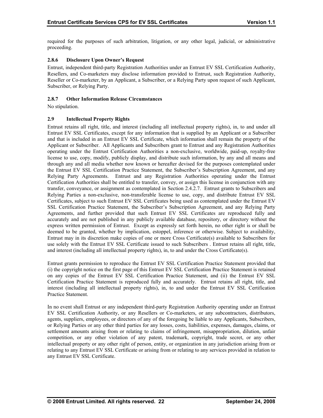<span id="page-27-0"></span>required for the purposes of such arbitration, litigation, or any other legal, judicial, or administrative proceeding.

# **2.8.6 Disclosure Upon Owner's Request**

Entrust, independent third-party Registration Authorities under an Entrust EV SSL Certification Authority, Resellers, and Co-marketers may disclose information provided to Entrust, such Registration Authority, Reseller or Co-marketer, by an Applicant, a Subscriber, or a Relying Party upon request of such Applicant, Subscriber, or Relying Party.

#### **2.8.7 Other Information Release Circumstances**

No stipulation.

### **2.9 Intellectual Property Rights**

Entrust EV SSL Certificates, except for any information that is supplied by an Applicant or a Subscriber and that is included in an Entrust EV SSL Certificate, which information shall remain the property of the Applicant or Subscriber. All Applicants and Subscribers grant to Entrust and any Registration Authorities operating under the Entrust Certification Authorities a non-exclusive, worldwide, paid-up, royalty-free license to use, copy, modify, publicly display, and distribute such information, by any and all means and through any and all media whether now known or hereafter devised for the purposes contemplated under Entrust retains all right, title, and interest (including all intellectual property rights), in, to and under all the Entrust EV SSL Certification Practice Statement, the Subscriber's Subscription Agreement, and any Relying Party Agreements. Entrust and any Registration Authorities operating under the Entrust Certification Authorities shall be entitled to transfer, convey, or assign this license in conjunction with any transfer, conveyance, or assignment as contemplated in Section 2.4.2.7. Entrust grants to Subscribers and Relying Parties a non-exclusive, non-transferable license to use, copy, and distribute Entrust EV SSL Certificates, subject to such Entrust EV SSL Certificates being used as contemplated under the Entrust EV SSL Certification Practice Statement, the Subscriber's Subscription Agreement, and any Relying Party Agreements, and further provided that such Entrust EV SSL Certificates are reproduced fully and accurately and are not published in any publicly available database, repository, or directory without the express written permission of Entrust. Except as expressly set forth herein, no other right is or shall be deemed to be granted, whether by implication, estoppel, inference or otherwise. Subject to availability, Entrust may in its discretion make copies of one or more Cross Certificate(s) available to Subscribers for use solely with the Entrust EV SSL Certificate issued to such Subscribers . Entrust retains all right, title, and interest (including all intellectual property rights), in, to and under the Cross Certificate(s).

Entrust grants permission to reproduce the Entrust EV SSL Certification Practice Statement provided that (i) the copyright notice on the first page of this Entrust EV SSL Certification Practice Statement is retained on any copies of the Entrust EV SSL Certification Practice Statement, and (ii) the Entrust EV SSL Certification Practice Statement is reproduced fully and accurately. Entrust retains all right, title, and interest (including all intellectual property rights), in, to and under the Entrust EV SSL Certification Practice Statement.

competition, or any other violation of any patent, trademark, copyright, trade secret, or any other intellectual property or any other right of person, entity, or organization in any jurisdiction arising from or In no event shall Entrust or any independent third-party Registration Authority operating under an Entrust EV SSL Certification Authority, or any Resellers or Co-marketers, or any subcontractors, distributors, agents, suppliers, employees, or directors of any of the foregoing be liable to any Applicants, Subscribers, or Relying Parties or any other third parties for any losses, costs, liabilities, expenses, damages, claims, or settlement amounts arising from or relating to claims of infringement, misappropriation, dilution, unfair relating to any Entrust EV SSL Certificate or arising from or relating to any services provided in relation to any Entrust EV SSL Certificate.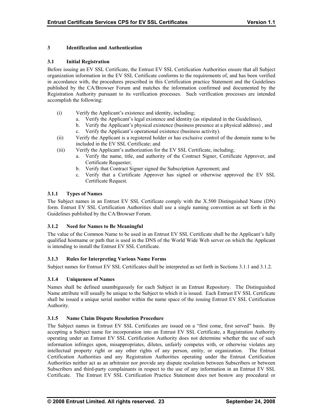# **3 Identification and Authentication**

#### **3.1 Initial Registration**

Before issuing an EV SSL Certificate, the Entrust EV SSL Certification Authorities ensure that all Subject organization information in the EV SSL Certificate conforms to the requirements of, and has been verified in accordance with, the procedures prescribed in this Certification practice Statement and the Guidelines published by the CA/Browser Forum and matches the information confirmed and documented by the Registration Authority pursuant to its verification processes. Such verification processes are intended accomplish the following:

- (i) Verify the Applicant's existence and identity, including;
	- a. Verify the Applicant's legal existence and identity (as stipulated in the Guidelines),
	- b. Verify the Applicant's physical existence (business presence at a physical address) , and
	- c. Verify the Applicant's operational existence (business activity).
- (ii) Verify the Applicant is a registered holder or has exclusive control of the domain name to be included in the EV SSL Certificate; and
- (iii) Verify the Applicant's authorization for the EV SSL Certificate, including;
	- a. Verify the name, title, and authority of the Contract Signer, Certificate Approver, and Certificate Requester;
	- b. Verify that Contract Signer signed the Subscription Agreement; and
	- c. Verify that a Certificate Approver has signed or otherwise approved the EV SSL Certificate Request.

# **3.1.1 Types of Names**

The Subject names in an Entrust EV SSL Certificate comply with the X.500 Distinguished Name (DN) form. Entrust EV SSL Certification Authorities shall use a single naming convention as set forth in the Guidelines published by the CA/Browser Forum.

# **3.1.2 Need for Names to Be Meaningful**

The value of the Common Name to be used in an Entrust EV SSL Certificate shall be the Applicant's fully qualified hostname or path that is used in the DNS of the World Wide Web server on which the Applicant is intending to install the Entrust EV SSL Certificate.

#### **3.1.3 Rules for Interpreting Various Name Forms**

Subject names for Entrust EV SSL Certificates shall be interpreted as set forth in Sections 3.1.1 and 3.1.2.

# **3.1.4 Uniqueness of Names**

Names shall be defined unambiguously for each Subject in an Entrust Repository. The Distinguished Name attribute will usually be unique to the Subject to which it is issued. Each Entrust EV SSL Certificate shall be issued a unique serial number within the name space of the issuing Entrust EV SSL Certification Authority.

# **3.1.5 Name Claim Dispute Resolution Procedure**

The Subject names in Entrust EV SSL Certificates are issued on a "first come, first served" basis. By accepting a Subject name for incorporation into an Entrust EV SSL Certificate, a Registration Authority operating under an Entrust EV SSL Certification Authority does not determine whether the use of such information infringes upon, misappropriates, dilutes, unfairly competes with, or otherwise violates any intellectual property right or any other rights of any person, entity, or organization. The Entrust Certification Authorities and any Registration Authorities operating under the Entrust Certification Authorities neither act as an arbitrator nor provide any dispute resolution between Subscribers or between Subscribers and third-party complainants in respect to the use of any information in an Entrust EV SSL Certificate. The Entrust EV SSL Certification Practice Statement does not bestow any procedural or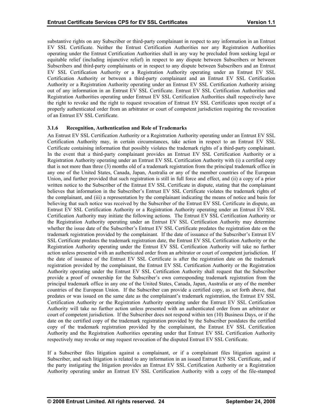<span id="page-29-0"></span>substantive rights on any Subscriber or third-party complainant in respect to any information in an Entrust EV SSL Certificate. Neither the Entrust Certification Authorities nor any Registration Authorities operating under the Entrust Certification Authorities shall in any way be precluded from seeking legal or equitable relief (including injunctive relief) in respect to any dispute between Subscribers or between the right to revoke and the right to request revocation of Entrust EV SSL Certificates upon receipt of a properly authenticated order from an arbitrator or court of competent jurisdiction requiring the revocation of an Entrust EV SSL Certificate. Subscribers and third-party complainants or in respect to any dispute between Subscribers and an Entrust EV SSL Certification Authority or a Registration Authority operating under an Entrust EV SSL Certification Authority or between a third-party complainant and an Entrust EV SSL Certification Authority or a Registration Authority operating under an Entrust EV SSL Certification Authority arising out of any information in an Entrust EV SSL Certificate. Entrust EV SSL Certification Authorities and Registration Authorities operating under Entrust EV SSL Certification Authorities shall respectively have

### **3.1.6 Recogni tion, Authentication and Role of Trademarks**

An Entrust EV SSL Certification Authority or a Registration Authority operating under an Entrust EV SSL Certification Authority may, in certain circumstances, take action in respect to an Entrust EV SSL Certificate containing information that possibly violates the trademark rights of a third-party complainant. In the event that a third-party complainant provides an Entrust EV SSL Certification Authority or a Registration Authority operating under an Entrust EV SSL Certification Authority with (i) a certified copy that is not more than three (3) months old of a trademark registration from the principal trademark office in any one of t he United States, Canada, Japan, Australia or any of the member countries of the European Union, and further provided that such registration is still in full force and effect, and (ii) a copy of a prior written notice to the Subscriber of the Entrust EV SSL Certificate in dispute, stating that the complainant believes that information in the Subscriber's Entrust EV SSL Certificate violates the trademark rights of Certification Authority may initiate the following actions. The Entrust EV SSL Certification Authority or the Registration Authority operating under an Entrust EV SSL Certification Authority may determine whether the issue date of the Subscriber's Entrust EV SSL Certificate predates the registration date on the Registration Authority operating under the Entrust EV SSL Certification Authority will take no further action unless presented with an authenticated order from an arbitrator or court of competent jurisdiction. If the date of issuance of the Entrust EV SSL Certificate is after the registration date on the trademark Authority operating under the Entrust EV SSL Certification Authority shall request that the Subscriber provide a proof of ownership for the Subscriber's own corresponding trademark registration from the Authority will take no further action unless presented with an authenticated order from an arbitrator or court of competent jurisdiction. If the Subscriber does not respond within ten (10) Business Days, or if the date on the certified copy of the trademark registration provided by the Subscriber postdates the certified the complainant, and (iii) a representation by the complainant indicating the means of notice and basis for believing that such notice was received by the Subscriber of the Entrust EV SSL Certificate in dispute, an Entrust EV SSL Certification Authority or a Registration Authority operating under an Entrust EV SSL trademark registration provided by the complainant. If the date of issuance of the Subscriber's Entrust EV SSL Certificate predates the trademark registration date, the Entrust EV SSL Certification Authority or the registration provided by the complainant, the Entrust EV SSL Certification Authority or the Registration principal trademark office in any one of the United States, Canada, Japan, Australia or any of the member countries of the European Union. If the Subscriber can provide a certified copy, as set forth above, that predates or was issued on the same date as the complainant's trademark registration, the Entrust EV SSL Certification Authority or the Registration Authority operating under the Entrust EV SSL Certification copy of the trademark registration provided by the complainant, the Entrust EV SSL Certification Authority and the Registration Authorities operating under that Entrust EV SSL Certification Authority respectively may revoke or may request revocation of the disputed Entrust EV SSL Certificate.

If a Subscriber files litigation against a complainant, or if a complainant files litigation against a Subscriber, and such litigation is related to any information in an issued Entrust EV SSL Certificate, and if the party instigating the litigation provides an Entrust EV SSL Certification Authority or a Registration Authority operating under an Entrust EV SSL Certification Authority with a copy of the file-stamped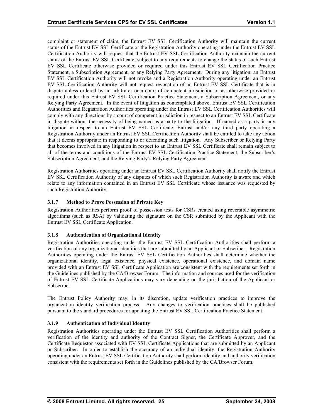<span id="page-30-0"></span>complaint or statement of claim, the Entrust EV SSL Certification Authority will maintain the current status of the Entrust EV SSL Certificate or the Registration Authority operating under the Entrust EV SSL Certification Authority will request that the Entrust EV SSL Certification Authority maintain the current status of the Entrust EV SSL Certificate, subject to any requirements to change the status of such Entrust EV SSL Certificate otherwise provided or required under this Entrust EV SSL Certification Practice Statement, a Subscription Agreement, or any Relying Party Agreement. During any litigation, an Entrust EV SSL Certification Authority will not revoke and a Registration Authority operating under an Entrust EV SSL Certification Authority will not request revocation of an Entrust EV SSL Certificate that is in dispute unless ordered by an arbitrator or a court of competent jurisdiction or as otherwise provided or required under this Entrust EV SSL Certification Practice Statement, a Subscription Agreement, or any Relying Party Agreement. In the event of litigation as contemplated above, Entrust EV SSL Certification Authorities and Registration Authorities operating under the Entrust EV SSL Certification Authorities will comply with any directions by a court of competent jurisdiction in respect to an Entrust EV SSL Certificate in dispute without the necessity of being named as a party to the litigation. If named as a party in any litigation in respect to an Entrust EV SSL Certificate, Entrust and/or any third party operating a Registration Authority under an Entrust EV SSL Certification Authority shall be entitled to take any action that it deems appropriate in responding to or defending such litigation. Any Subscriber or Relying Party that becomes involved in any litigation in respect to an Entrust EV SSL Certificate shall remain subject to all of the terms and conditions of the Entrust EV SSL Certification Practice Statement, the Subscriber's Subscription Agreement, and the Relying Party's Relying Party Agreement.

Registration Authorities operating under an Entrust EV SSL Certification Authority shall notify the Entrust EV SSL Certification Authority of any disputes of which such Registration Authority is aware and which relate to any information contained in an Entrust EV SSL Certificate whose issuance was requested by such Registration Authority.

# **3.1.7 Method to Prove Possession of Private Key**

Registration Authorities perform proof of possession tests for CSRs created using reversible asymmetric algorithms (such as RSA) by validating the signature on the CSR submitted by the Applicant with the Entrust EV SSL Certificate Application.

# **3.1.8 Authentication of Organizational Identity**

Registration Authorities operating under the Entrust EV SSL Certification Authorities shall perform a verification of any organizational identities that are submitted by an Applicant or Subscriber. Registration Authorities operating under the Entrust EV SSL Certification Authorities shall determine whether the organizational identity, legal existence, physical existence, operational existence, and domain name provided with an Entrust EV SSL Certificate Application are consistent with the requirements set forth in the Guidelines published by the CA/Browser Forum. The information and sources used for the verification of Entrust EV SSL Certificate Applications may vary depending on the jurisdiction of the Applicant or Subscriber.

The Entrust Policy Authority may, in its discretion, update verification practices to improve the organization identity verification process. Any changes to verification practices shall be published pursuant to the standard procedures for updating the Entrust EV SSL Certification Practice Statement.

#### **3.1.9 Authentication of Individual Identity**

verification of the identity and authority of the Contract Signer, the Certificate Approver, and the Certificate Requestor associated with EV SSL Certificate Applications that are submitted by an Applicant Registration Authorities operating under the Entrust EV SSL Certification Authorities shall perform a or Subscriber. In order to establish the accuracy of an individual identity, the Registration Authority operating under an Entrust EV SSL Certification Authority shall perform identity and authority verification consistent with the requirements set forth in the Guidelines published by the CA/Browser Forum.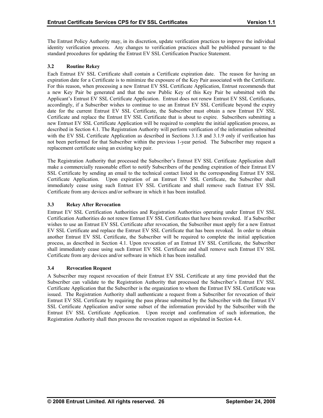<span id="page-31-0"></span>The Entrust Policy Authority may, in its discretion, update verification practices to improve the individual identity verification process. Any changes to verification practices shall be published pursuant to the standard procedures for updating the Entrust EV SSL Certification Practice Statement.

# **3.2 Routine Rekey**

Each Entrust EV SSL Certificate shall contain a Certificate expiration date. The reason for having an expiration date for a Certificate is to minimize the exposure of the Key Pair associated with the Certificate. For this reason, when processing a new Entrust EV SSL Certificate Application, Entrust recommends that a new Key Pair be generated and that the new Public Key of this Key Pair be submitted with the Applicant's Entrust EV SSL Certificate Application. Entrust does not renew Entrust EV SSL Certificates, accordingly, if a Subscriber wishes to continue to use an Entrust EV SSL Certificate beyond the expiry date for the current Entrust EV SSL Certificate, the Subscriber must obtain a new Entrust EV SSL Certificate and replace the Entrust EV SSL Certificate that is about to expire. Subscribers submitting a new Entrust EV SSL Certificate Application will be required to complete the initial application process, as described in Section 4.1. The Registration Authority will perform verification of the information submitted with the EV SSL Certificate Application as described in Sections 3.1.8 and 3.1.9 only if verification has not been performed for that Subscriber within the previous 1-year period. The Subscriber may request a replacement certificate using an existing key pair.

The Registration Authority that processed the Subscriber's Entrust EV SSL Certificate Application shall immediately cease using such Entrust EV SSL Certificate and shall remove such Entrust EV SSL Certificate from any devices and/or software in which it has been installed. make a commercially reasonable effort to notify Subscribers of the pending expiration of their Entrust EV SSL Certificate by sending an email to the technical contact listed in the corresponding Entrust EV SSL Certificate Application. Upon expiration of an Entrust EV SSL Certificate, the Subscriber shall

# **3.3 Rekey After Revocation**

Certification Authorities do not renew Entrust EV SSL Certificates that have been revoked. If a Subscriber wishes to use an Entrust EV SSL Certificate after revocation, the Subscriber must apply for a new Entrust EV SSL Certificate and replace the Entrust EV SSL Certificate that has been revoked. In order to obtain Entrust EV SSL Certification Authorities and Registration Authorities operating under Entrust EV SSL another Entrust EV SSL Certificate, the Subscriber will be required to complete the initial application process, as described in Section 4.1. Upon revocation of an Entrust EV SSL Certificate, the Subscriber shall immediately cease using such Entrust EV SSL Certificate and shall remove such Entrust EV SSL Certificate from any devices and/or software in which it has been installed.

#### **3.4 Revocation Request**

Subscriber can validate to the Registration Authority that processed the Subscriber's Entrust EV SSL Certificate Application that the Subscriber is the organization to whom the Entrust EV SSL Certificate was SSL Certificate Application and/or some subset of the information provided by the Subscriber with the Entrust EV SSL Certificate Application. Upon receipt and confirmation of such information, the Registration Authority shall then process the revocation request as stipulated in Section 4.4. A Subscriber may request revocation of their Entrust EV SSL Certificate at any time provided that the issued. The Registration Authority shall authenticate a request from a Subscriber for revocation of their Entrust EV SSL Certificate by requiring the pass phrase submitted by the Subscriber with the Entrust EV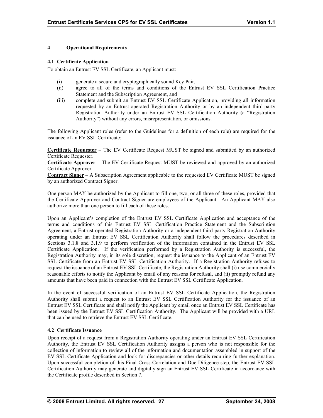### <span id="page-32-0"></span>**4 Operational Requirements**

#### **4.1 Certificate Application**

To obtain an Entrust EV SSL Certificate, an Applicant must:

- (i) generate a secure and cryptographically sound Key Pair,
- (ii) agree to all of the terms and conditions of the Entrust EV SSL Certification Practice Statement and the Subscription Agreement, and
- (iii) complete and submit an Entrust EV SSL Certificate Application, providing all information requested by an Entrust-operated Registration Authority or by an independent third-party Registration Authority under an Entrust EV SSL Certification Authority (a "Registration Authority") without any errors, misrepresentation, or omissions.

The following Applicant roles (refer to the Guidelines for a definition of each role) are required for the issuance of an EV SSL Certificate:

**Certificate Requester** – The EV Certificate Request MUST be signed and submitted by an authorized Certificate Requester.

**Certificate Approver** – The EV Certificate Request MUST be reviewed and approved by an authorized Certificate Approver.

**Contract Signer** – A Subscription Agreement applicable to the requested EV Certificate MUST be signed by an authorized Contract Signer.

One person MAY be authorized by the Applicant to fill one, two, or all three of these roles, provided that the Certificate Approver and Contract Signer are employees of the Applicant. An Applicant MAY also authorize more than one person to fill each of these roles.

Registration Authority may, in its sole discretion, request the issuance to the Applicant of an Entrust EV SSL Certificate from an Entrust EV SSL Certification Authority. If a Registration Authority refuses to request the issuance of an Entrust EV SSL Certificate, the Registration Authority shall (i) use commercially Upon an Applicant's completion of the Entrust EV SSL Certificate Application and acceptance of the terms and conditions of this Entrust EV SSL Certification Practice Statement and the Subscription Agreement, a Entrust-operated Registration Authority or a independent third-party Registration Authority operating under an Entrust EV SSL Certification Authority shall follow the procedures described in Sections 3.1.8 and 3.1.9 to perform verification of the information contained in the Entrust EV SSL Certificate Application. If the verification performed by a Registration Authority is successful, the reasonable efforts to notify the Applicant by email of any reasons for refusal, and (ii) promptly refund any amounts that have been paid in connection with the Entrust EV SSL Certificate Application.

In the event of successful verification of an Entrust EV SSL Certificate Application, the Registration Authority shall submit a request to an Entrust EV SSL Certification Authority for the issuance of an Entrust EV SSL Certificate and shall notify the Applicant by email once an Entrust EV SSL Certificate has been issued by the Entrust EV SSL Certification Authority. The Applicant will be provided with a URL that can be used to retrieve the Entrust EV SSL Certificate.

# **4.2 Certificate Issuance**

Upon receipt of a request from a Registration Authority operating under an Entrust EV SSL Certification Authority, the Entrust EV SSL Certification Authority assigns a person who is not responsible for the collection of information to review all of the information and documentation assembled in support of the EV SSL Certificate Application and look for discrepancies or other details requiring further explanation. Upon successful completion of this Final Cross-Correlation and Due Diligence step, the Entrust EV SSL Certification Authority may generate and digitally sign an Entrust EV SSL Certificate in accordance with the Certificate profile described in Section 7.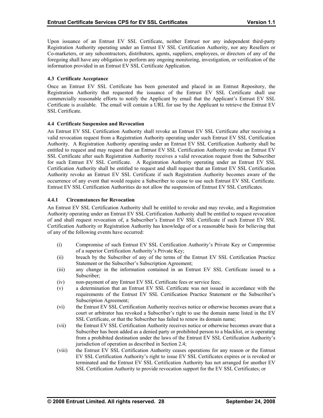<span id="page-33-0"></span>Upon issuance of an Entrust EV SSL Certificate, neither Entrust nor any independent third-party Registration Authority operating under an Entrust EV SSL Certification Authority, nor any Resellers or Co-marketers, or any subcontractors, distributors, agents, suppliers, employees, or directors of any of the foregoing shall have any obligation to perform any ongoing monitoring, investigation, or verification of the information provided in an Entrust EV SSL Certificate Application.

### **.3 4 Certificate Acceptance**

Once an Entrust EV SSL Certificate has been generated and placed in an Entrust Repository, the Registration Authority that requested the issuance of the Entrust EV SSL Certificate shall use com mercially reasonable efforts to notify the Applicant by email that the Applicant's Entrust EV SSL Certificate is available. The email will contain a URL for use by the Applicant to retrieve the Entrust EV SSL Certifica te.

### **.4 Certificate Suspension and Revocation 4**

valid revocation request from a Registration Authority operating under such Entrust EV SSL Certification Authority. A Registration Authority operating under an Entrust EV SSL Certification Authority shall be SSL Certificate after such Registration Authority receives a valid revocation request from the Subscriber Certification Authority shall be entitled to request and shall request that an Entrust EV SSL Certification occurrence of any event that would require a Subscriber to cease to use such Entrust EV SSL Certificate. Entrust EV SSL Certification Authorities do not allow the suspension of Entrust EV SSL Certificates. An Entrust EV SSL Certification Authority shall revoke an Entrust EV SSL Certificate after receiving a entitled to request and may request that an Entrust EV SSL Certification Authority revoke an Entrust EV for such Entrust EV SSL Certificate. A Registration Authority operating under an Entrust EV SSL Authority revoke an Entrust EV SSL Certificate if such Registration Authority becomes aware of the

### **4.4.1 Circumstances for Revocation**

An Entrust EV SSL Certification Authority shall be entitled to revoke and may revoke, and a Registration Authority operating under an Entrust EV SSL Certification Authority shall be entitled to request revocation of and shall request revocation of, a Subscriber's Entrust EV SSL Certificate if such Entrust EV SSL Certification Authority or Registration Authority has knowledge of or a reasonable basis for believing that of any of the following events have occurred:

- (i) Compromise of such Entrust EV SSL Certification Authority's Private Key or Compromise of a superior Certification Authority's Private Key;
- (ii) breach by the Subscriber of any of the terms of the Entrust EV SSL Certification Practice Statement or the Subscriber's Subscription Agreement;
- (iii) any change in the information contained in an Entrust EV SSL Certificate issued to a Subscriber;
- (iv) non-payment of any Entrust EV SSL Certificate fees or service fees;
- (v) a determination that an Entrust EV SSL Certificate was not issued in accordance with the requirements of the Entrust EV SSL Certification Practice Statement or the Subscriber's Subscription Agreement;
- SSL Certificate, or that the Subscriber has failed to renew its domain name; (vi) the Entrust EV SSL Certification Authority receives notice or otherwise becomes aware that a court or arbitrator has revoked a Subscriber's right to use the domain name listed in the EV
- (vii) the Entrust EV SSL Certification Authority receives notice or otherwise becomes aware that a Subscriber has been added as a denied party or prohibited person to a blacklist, or is operating from a prohibited destination under the laws of the Entrust EV SSL Certification Authority's jurisdiction of operation as described in Section 2.4;
- (viii) the Entrust EV SSL Certification Authority ceases operations for any reason or the Entrust EV SSL Certification Authority's right to issue EV SSL Certificates expires or is revoked or terminated and the Entrust EV SSL Certification Authority has not arranged for another EV SSL Certification Authority to provide revocation support for the EV SSL Certificates; or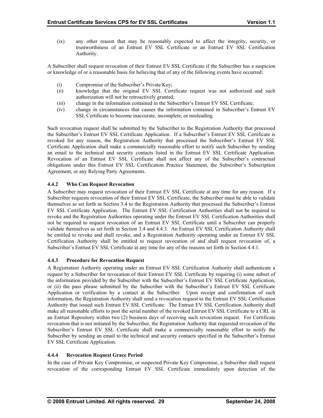<span id="page-34-0"></span>(ix) any other reason that may be reasonably expected to affect the integrity, security, or trustworthiness of an Entrust EV SSL Certificate or an Entrust EV SSL Certification Authority.

A Subscriber shall request revocation of their Entrust EV SSL Certificate if the Subscriber has a suspicion or knowledge of or a reasonable basis for believing that of any of the following events have occurred:

- (i) Compromise of the Subscriber's Private Key;
- (ii) knowledge that the original EV SSL Certificate request was not authorized and such authorization will not be retroactively granted;
- (iii) change in the information contained in the Subscriber's Entrust EV SSL Certificate;
- (iv) change in circumstances that causes the information contained in Subscriber's Entrust EV SSL Certificate to become inaccurate, incomplete, or misleading.

Such revocation request shall be submitted by the Subscriber to the Registration Authority that processed the Subscriber's Entrust EV SSL Certificate Application. If a Subscriber's Entrust EV SSL Certificate is revoked for any reason, the Registration Authority that processed the Subscriber's Entrust EV SSL Certificate Application shall make a commercially reasonable effort to notify such Subscriber by sending an email to the technical and security contacts listed in the Entrust EV SSL Certificate Application. Revocation of an Entrust EV SSL Certificate shall not affect any of the Subscriber's contractual obligations under this Entrust EV SSL Certification Practice Statement, the Subscriber's Subscription Agreement, or any Relying Party Agreements.

# **4.4.2 Who Can Request Revocation**

A Subscriber may request revocation of their Entrust EV SSL Certificate at any time for any reason. If a Subscriber requests revocation of their Entrust EV SSL Certificate, the Subscriber must be able to validate be entitled to revoke and shall revoke, and a Registration Authority operating under an Entrust EV SSL Certification Authority shall be entitled to request revocation of and shall request revocation of, a Subscriber's Entrust EV SSL Certificate at any time for any of the reasons set forth in Section 4.4.1. themselves as set forth in Section 3.4 to the Registration Authority that processed the Subscriber's Entrust EV SSL Certificate Application. The Entrust EV SSL Certification Authorities shall not be required to revoke and the Registration Authorities operating under the Entrust EV SSL Certification Authorities shall not be required to request revocation of an Entrust EV SSL Certificate until a Subscriber can properly validate themselves as set forth in Section 3.4 and 4.4.3. An Entrust EV SSL Certification Authority shall

#### **4.4. Pro 3 cedure for Revocation Request**

A Registration Authority operating under an Entrust EV SSL Certification Authority shall authenticate a request by a Subscriber for revocation of their Entrust EV SSL Certificate by requiring (i) some subset of the information provided by the Subscriber with the Subscriber's Entrust EV SSL Certificate Application, or (ii) the p ass phrase submitted by the Subscriber with the Subscriber's Entrust EV SSL Certificate Application or verification by a contact at the Subscriber. Upon receipt and confirmation of such information, the Registration Authority shall send a revocation request to the Entrust EV SSL Certification Authority that issued such Entrust EV SSL Certificate. The Entrust EV SSL Certification Authority shall make all reas onable efforts to post the serial number of the revoked Entrust EV SSL Certificate to a CRL in an Entrust Repository within two (2) business days of receiving such revocation request. For Certificate revocation that is not initiated by the Subscriber, the Registration Authority that requested revocation of the Subscriber's Entrust EV SSL Certificate shall make a commercially reasonable effort to notify the Subscriber by sending an email to the technical and security contacts specified in the Subscriber's Entrust EV SSL Cert ificate Application.

#### **4.4.4 Rev Revocation Request Grace Period**

In the case o f Private Key Compromise, or suspected Private Key Compromise, a Subscriber shall request revocation of the corresponding Entrust EV SSL Certificate immediately upon detection of the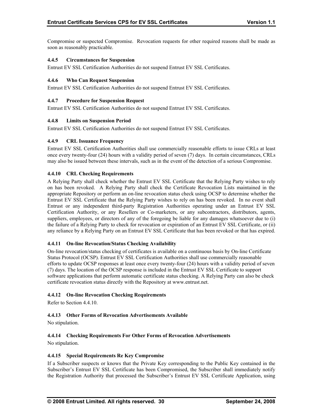<span id="page-35-0"></span>Compromise or suspected Compromise. Revocation requests for other required reasons shall be made as soon as reaso nably practicable.

#### **.4.5 Circumstances for Suspension 4**

Entrust EV SSL Certification Authorities do not suspend Entrust EV SSL Certificates.

#### **.4.6 Who Can Request Suspension 4**

Entr ust EV SSL Certification Authorities do not suspend Entrust EV SSL Certificates.

#### **4.4. ro 7 P cedure for Suspension Request**

Entr ust EV SSL Certification Authorities do not suspend Entrust EV SSL Certificates.

#### **.4.8 Limits on Suspension Period 4**

Entrust EV SSL Certification Authorities do not suspend Entrust EV SSL Certificates.

#### **4.4.9 CRL Issuance Frequency**

Entrust EV SSL Certification Authorities shall use commercially reasonable efforts to issue CRLs at least once every twenty-four (24) hours with a validity period of seven (7) days. In certain circumstances, CRLs may also be issued between these intervals, such as in the event of the detection of a serious Compromise.

#### **4.4.10 CRL Checking Requirements**

A Relying Party shall check whether the Entrust EV SSL Certificate that the Relying Party wishes to rely on has been revoked. A Relying Party shall check the Certificate Revocation Lists maintained in the appropriate Repository or perform an on-line revocation status check using OCSP to determine whether the Entrust EV SSL Certificate that the Relying Party wishes to rely on has been revoked. In no event shall Entrust or any independent third-party Registration Authorities operating under an Entrust EV SSL Certification Authority, or any Resellers or Co-marketers, or any subcontractors, distributors, agents, suppliers, employees, or directors of any of the foregoing be liable for any damages whatsoever due to (i) the failure of a Relying Party to check for revocation or expiration of an Entrust EV SSL Certificate, or (ii) any reliance by a Relying Party on an Entrust EV SSL Certificate that has been revoked or that has expired.

#### **4.4.11 On-line Revocation/Status Checking Availability**

On-line revocation/status checking of certificates is available on a continuous basis by On-line Certificate Status Protocol (OCSP). Entrust EV SSL Certification Authorities shall use commercially reasonable efforts to update OCSP responses at least once every twenty-four (24) hours with a validity period of seven (7) days. The location of the OCSP response is included in the Entrust EV SSL Certificate to support software applications that perform automatic certificate status checking. A Relying Party can also be check certificate revocation status directly with the Repository at www.entrust.net.

#### **4.4.12 On-line Revocation Checking Requirements**

Refer to Section 4.4.10.

#### **4.4.13 Other Forms of Revocation Advertisements Available**

No stipulation.

#### **4.4.14 Checking Requirements For Other Forms of Revocation Advertisements**

No stipulation.

#### **promise 4.4.15 Special Requirements Re Key Com**

the Registration Authority that processed the Subscriber's Entrust EV SSL Certificate Application, using If a Subscriber suspects or knows that the Private Key corresponding to the Public Key contained in the Subscriber's Entrust EV SSL Certificate has been Compromised, the Subscriber shall immediately notify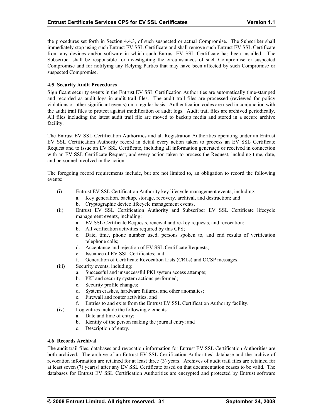<span id="page-36-0"></span>the procedures set forth in Section 4.4.3, of such suspected or actual Compromise. The Subscriber shall immediately stop using such Entrust EV SSL Certificate and shall remove such Entrust EV SSL Certificate from any devices and/or software in which such Entrust EV SSL Certificate has been installed. The Subscriber shall be responsible for investigating the circumstances of such Compromise or suspected Compromise and for notifying any Relying Parties that may have been affected by such Compromise or suspected Compromise.

### **4.5 Security Audit Procedures**

Significant security events in the Entrust EV SSL Certification Authorities are automatically time-stamped and recorded as audit logs in audit trail files. The audit trail files are processed (reviewed for policy violations or other significant events) on a regular basis. Authentication codes are used in conjunction with the audit trail files to protect against modification of audit logs. Audit trail files are archived periodically. All files including the latest audit trail file are moved to backup media and stored in a secure archive facility.

The Entrust EV SSL Certification Authorities and all Registration Authorities operating under an Entrust EV SSL Certification Authority record in detail every action taken to process an EV SSL Certificate Request and to issue an EV SSL Certificate, including all information generated or received in connection with an EV SSL Certificate Request, and every action taken to process the Request, including time, date, and personnel involved in the action.

The foregoing record requirements include, but are not limited to, an obligation to record the following events:

- (i) Entrust EV SSL Certification Authority key lifecycle management events, including: a. Key generation, backup, storage, recovery, archival, and destruction; and
	- b. Cryptographic device lifecycle management events.
- (ii) Entrust EV SSL Certification Authority and Subscriber EV SSL Certificate lifecycle management events, including:
	- a. EV SSL Certificate Requests, renewal and re-key requests, and revocation;
	- b. All verification activities required by this CPS;
	- c. Date, time, phone number used, persons spoken to, and end results of verification telephone calls;
	- d. Acceptance and rejection of EV SSL Certificate Requests;
	- e. Issuance of EV SSL Certificates; and
	- f. Generation of Certificate Revocation Lists (CRLs) and OCSP messages.
- (iii) Security events, including:
	- a. Successful and unsuccessful PKI system access attempts;
	- b. PKI and security system actions performed;
	- c. Security profile changes;
	- d. System crashes, hardware failures, and other anomalies;
	- e. Firewall and router activities; and
	- f. Entries to and exits from the Entrust EV SSL Certification Authority facility.
- (iv) Log entries include the following elements:
	- a. Date and time of entry;
	- b. Identity of the person making the journal entry; and
	- c. Description of entry.

#### **chival 4.6 Records Ar**

The audit trail files, databases and revocation information for Entrust EV SSL Certification Authorities are both archived. The archive of an Entrust EV SSL Certification Authorities' database and the archive of revocation information are retained for at least three (3) years. Archives of audit trail files are retained for at least seven (7) year(s) after any EV SSL Certificate based on that documentation ceases to be valid. The databases for Entrust EV SSL Certification Authorities are encrypted and protected by Entrust software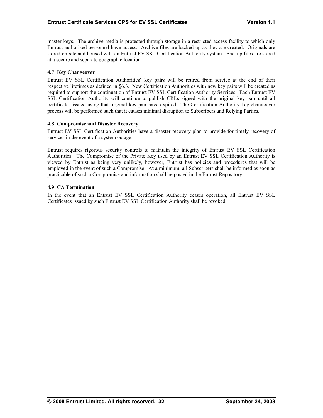<span id="page-37-0"></span>master keys. The archive media is protected through storage in a restricted-access facility to which only Entrust-authorized personnel have access. Archive files are backed up as they are created. Originals are stored on-site and housed with an Entrust EV SSL Certification Authority system. Backup files are stored at a secure and separate geographic location.

# **4.7 Key Changeover**

Entrust EV SSL Certification Authorities' key pairs will be retired from service at the end of their respective lifetimes as defined in §6.3. New Certification Authorities with new key pairs will be created as required to support the continuation of Entrust EV SSL Certification Authority Services. Each Entrust EV SSL Certification Authority will continue to publish CRLs signed with the original key pair until all certificates issued using that original key pair have expired.. The Certification Authority key changeover process will be performed such that it causes minimal disruption to Subscribers and Relying Parties.

#### **promise and Disaster Recovery 4.8 Com**

Entrust EV SSL Certification Authorities have a disaster recovery plan to provide for timely recovery of services in the event of a system outage.

viewed by Entrust as being very unlikely, however, Entrust has policies and procedures that will be employed in the event of such a Compromise. At a minimum, all Subscribers shall be informed as soon as Entrust requires rigorous security controls to maintain the integrity of Entrust EV SSL Certification Authorities. The Compromise of the Private Key used by an Entrust EV SSL Certification Authority is practicable of such a Compromise and information shall be posted in the Entrust Repository.

### **.9 CA Termination 4**

In the event that an Entrust EV SSL Certification Authority ceases operation, all Entrust EV SSL Certificates i ssued by such Entrust EV SSL Certification Authority shall be revoked.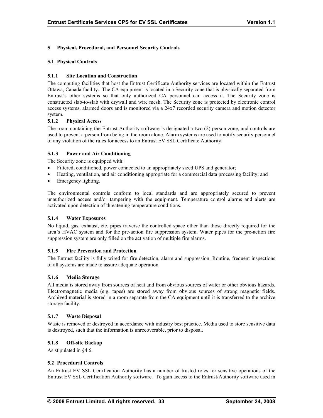# <span id="page-38-0"></span>**5 Physical, Procedural, and Personnel Security Controls**

#### **5.1 Physical Controls**

### **5.1.1 Site Location and Construction**

The computing facilities that host the Entrust Certificate Authority services are located within the Entrust Ottawa, Canada facility.. The CA equipment is located in a Security zone that is physically separated from Entrust's other systems so that only authorized CA personnel can access it. The Security zone is constructed slab-to-slab with drywall and wire mesh. The Security zone is protected by electronic control access systems, alarmed doors and is monitored via a 24x7 recorded security camera and motion detector system.

#### **5.1.2 Physical Access**

of any violation of the rules for access to an Entrust EV SSL Certificate Authority. The room containing the Entrust Authority software is designated a two (2) person zone, and controls are used to prevent a person from being in the room alone. Alarm systems are used to notify security personnel

### **5.1.3 Power and Air Conditioning**

The Security zone is equipped with:

- Filtered, conditioned, power connected to an appropriately sized UPS and generator;
- Heating, ventilation, and air conditioning appropriate for a commercial data processing facility; and
- Emergency lighting.

unauthorized access and/or tampering with the equipment. Temperature control alarms and alerts are activated upon detection of threatening temperature conditions. The environmental controls conform to local standards and are appropriately secured to prevent

#### **5.1.4 Water Exposures**

No liquid, gas, exhaust, etc. pipes traverse the controlled space other than those directly required for the area's HVAC system and for the pre-action fire suppression system. Water pipes for the pre-action fire suppression system are only filled on the activation of multiple fire alarms.

#### **5.1.5 Fire Prevention and Protection**

The Entrust facility is fully wired for fire detection, alarm and suppression. Routine, frequent inspections of all systems are made to assure adequate operation.

#### **5.1.6 Media Storage**

All media is stored away from sources of heat and from obvious sources of water or other obvious hazards. Electromagnetic media (e.g. tapes) are stored away from obvious sources of strong magnetic fields. Archived material is stored in a room separate from the CA equipment until it is transferred to the archive storage facility.

#### **5.1.7 Waste Disposal**

Waste is removed or destroyed in accordance with industry best practice. Media used to store sensitive data is destroyed, such that the information is unrecoverable, prior to disposal.

#### **5.1.8 Off-site Backup**

As stipulated in §4.6.

#### **5.2 Procedural Controls**

An Entrust EV SSL Certification Authority has a number of trusted roles for sensitive operations of the Entrust EV SSL Certification Authority software. To gain access to the Entrust/Authority software used in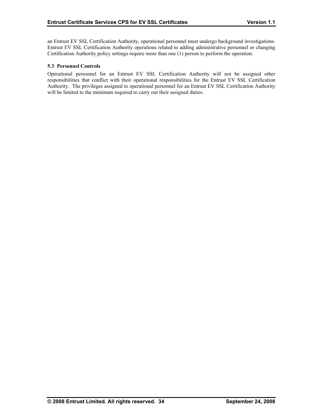<span id="page-39-0"></span>an Entrust EV SSL Certification Authority, operational personnel must undergo background investigations. Entrust EV SSL Certification Authority operations related to adding administrative personnel or changing Certification Authority policy settings require more than one (1) person to perform the operation.

#### **5.3 Personnel Controls**

Operational personnel for an Entrust EV SSL Certification Authority will not be assigned other responsibilities that conflict with their operational responsibilities for the Entrust EV SSL Certification Authority. The privileges assigned to operational personnel for an Entrust EV SSL Certification Authority will be limited to the minimum required to carry out their assigned duties.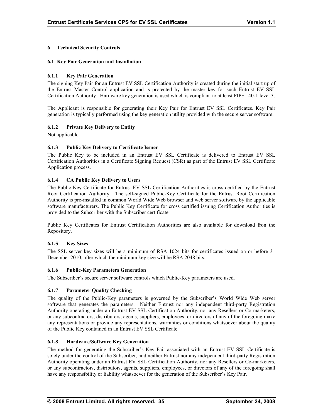# <span id="page-40-0"></span>**6 Technical Security Controls**

#### **6.1 Key Pair Generation and Installation**

### **6.1.1 Key Pair Generation**

The signing Key Pair for a n Entrust EV SSL Certification Authority is created during the initial start up of the Entrust Master Control application and is protected by the master key for such Entrust EV SSL Certification Authority. Hardware key generation is used which is compliant to at least FIPS 140-1 level 3.

generation is typically performed using the key generation utility provided with the secure server software. The Applicant is responsible for generating their Key Pair for Entrust EV SSL Certificates. Key Pair

### **6.1.2 Private Key Delivery to Entity**

Not applicable.

### **6.1.3 Public Key Delivery to Certificate Issuer**

The Public Key to be included in an Entrust EV SSL Certificate is delivered to Entrust EV SSL Certification Authorities in a Certificate Signing Request (CSR) as part of the Entrust EV SSL Certificate Application process.

### **6.1.4 CA Public Key Delivery to Users**

The Public-Key Certificate for Entrust EV SSL Certification Authorities is cross certified by the Entrust Root Certification Authority. The self-signed Public-Key Certificate for the Entrust Root Certification Authority is pre-installed in common World Wide Web browser and web server software by the applicable software manufacturers. The Public Key Certificate for cross certified issuing Certification Authorities is provided to the Subscriber with the Subscriber certificate.

Public Key Certificates for Entrust Certification Authorities are also available for download fron the Repository.

#### **6.1.5 Key Sizes**

The SSL server key sizes will be a minimum of RSA 1024 bits for certificates issued on or before 31 December 2010, after which the minimum key size will be RSA 2048 bits.

#### **6.1.6 Public-Key Parameters Generation**

The Subscriber's secure server software controls which Public-Key parameters are used.

# **6.1.7 Parameter Quality Checking**

The quality of the Public-Key parameters is governed by the Subscriber's World Wide Web server software that generates the parameters. Neither Entrust nor any independent third-party Registration Authority operating under an Entrust EV SSL Certification Authority, nor any Resellers or Co-marketers, or any subcontractors, distributors, agents, suppliers, employees, or directors of any of the foregoing make any representations or provide any representations, warranties or conditions whatsoever about the quality of the Public Key contained in an Entrust EV SSL Certificate.

#### **6.1.8 Hardware/Software Key Generation**

The method for generating the Subscriber's Key Pair associated with an Entrust EV SSL Certificate is solely under the control of the Subscriber, and neither Entrust nor any independent third-party Registration Authority operating under an Entrust EV SSL Certification Authority, nor any Resellers or Co-marketers, or any subcontractors, distributors, agents, suppliers, employees, or directors of any of the foregoing shall have any responsibility or liability whatsoever for the generation of the Subscriber's Key Pair.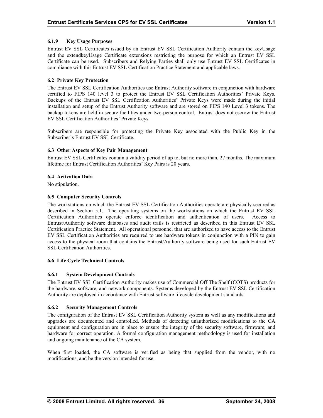# <span id="page-41-0"></span>**6.1.9 Key Usage Purposes**

Entrust EV SSL Certificates issued by an Entrust EV SSL Certification Authority contain the keyUsage and the extendkeyUsage Certificate extensions restricting the purpose for which an Entrust EV SSL Certificate can be used. Subscribers and Relying Parties shall only use Entrust EV SSL Certificates in compliance with this Entrust EV SSL Certification Practice Statement and applicable laws.

### **6.2 Private Key Protection**

Backups of the Entrust EV SSL Certification Authorities' Private Keys were made during the initial EV SSL Certification Authorities' Private Keys. The Entrust EV SSL Certification Authorities use Entrust Authority software in conjunction with hardware certified to FIPS 140 level 3 to protect the Entrust EV SSL Certification Authorities' Private Keys. installation and setup of the Entrust Authority software and are stored on FIPS 140 Level 3 tokens. The backup tokens are held in secure facilities under two-person control. Entrust does not escrow the Entrust

Subscribers are responsible for protecting the Private Key associated with the Public Key in the Subscriber's Entrust EV SSL Certificate.

#### **6.3 Other Aspects of Key Pair Management**

Entrust EV SSL Certificates contain a validity period of up to, but no more than, 27 months. The maximum lifetime for Entrust Certification Authorities' Key Pairs is 20 years.

### **6.4 Activation Data**

No stipulation.

### **6.5 Computer Security Controls**

described in Section 5.1. The operating systems on the workstations on which the Entrust EV SSL Certification Authorities operate enforce identification and authentication of users. Access to Certification Practice Statement. All operational personnel that are authorized to have access to the Entrust EV SSL Certification Authorities are required to use hardware tokens in conjunction with a PIN to gain access to the physical room that contains the Entrust/Authority software being used for such Entrust EV The workstations on which the Entrust EV SSL Certification Authorities operate are physically secured as Entrust/Authority software databases and audit trails is restricted as described in this Entrust EV SSL SSL Certification Authorities.

#### **6.6 Life Cycle Technical Controls**

# **6.6.1 System Development Controls**

The Entrust EV SSL Certification Authority makes use of Commercial Off The Shelf (COTS) products for the hardware, software, and network components. Systems developed by the Entrust EV SSL Certification Authority are deployed in accordance with Entrust software lifecycle development standards.

# **6.6.2 Security Management Controls**

equipment and configuration are in place to ensure the integrity of the security software, firmware, and hardware for correct operation. A formal configuration management methodology is used for installation The configuration of the Entrust EV SSL Certification Authority system as well as any modifications and upgrades are documented and controlled. Methods of detecting unauthorized modifications to the CA and ongoing maintenance of the CA system.

When first loaded, the CA software is verified as being that supplied from the vendor, with no modifications, and be the version intended for use.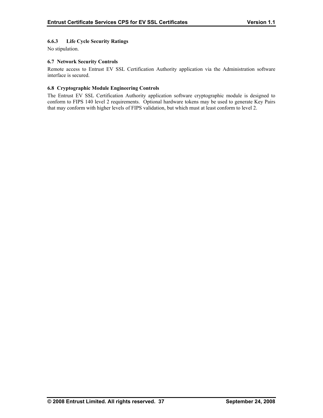# <span id="page-42-0"></span>**6.6.3 Life Cycle Security Ratings**

No stipulation.

### **6.7 Network Security Controls**

Remote access to Entrust EV SSL Certification Authority application via the Administration software interface is secured.

### **6.8 Cryptographic Module Engineering Controls**

The Entrust EV SSL Certification Authority application software cryptographic module is designed to conform to FIPS 140 level 2 requirements. Optional hardware tokens may be used to generate Key Pairs that may conform with higher levels of FIPS validation, but which must at least conform to level 2.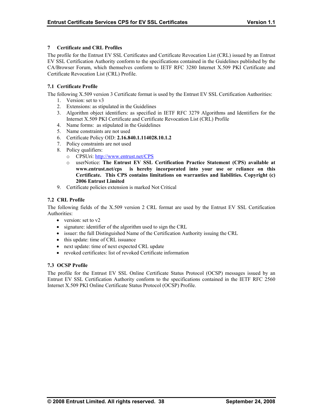# <span id="page-43-0"></span>**7 Certificate and CRL Profiles**

The profile for the Entrust EV SSL Certificates and Certificate Revocation List (CRL) issued by an Entrust EV SSL Certification Authority conform to the specifications contained in the Guidelines published by the Certificate Revocation List (CRL) Profile. CA/Browser Forum, which themselves conform to IETF RFC 3280 Internet X.509 PKI Certificate and

# **7.1 Certificate Profile**

The following X.509 version 3 Certificate format is used by the Entrust EV SSL Certification Authorities:

- 1. Version: set to v3
- 2. Extensions: as stipulated in the Guidelines
- 3. Algorithm object identifiers: as specified in IETF RFC 3279 Algorithms and Identifiers for the Internet X.509 PKI Certificate and Certificate Revocation List (CRL) Profile
- 4. Name forms: as stipulated in the Guidelines
- 5. Name constraints are not used
- 6. Certificate Policy OID: **2.16.840.1.114028.10.1.2**
- 7. Policy constraints are not used
- 8. Policy qualifiers:
	- o CPSUri: http://www.entrust.net/CPS
	- o userNotice: **The Entrust EV SSL Certification Practice Statement (CPS) available at www.entrust.net/cps is hereby incorporated into your use or reliance on this Certificate. This CPS contains limitations on warranties and liabilities. Copyright (c) 2006 Entrust Limited**
- 9. Certificate policies extension is marked Not Critical

### **7.2 CRL Profile**

The following fields of the X.509 version 2 CRL format are used by the Entrust EV SSL Certification Authorities:

- version: set to v2
- signature: identifier of the algorithm used to sign the CRL
- issuer: the full Distinguished Name of the Certification Authority issuing the CRL
- this update: time of CRL issuance
- next update: time of next expected CRL update
- revoked certificates: list of revoked Certificate information

# **7.3 OCSP Profile**

The profile for the Entrust EV SSL Online Certificate Status Protocol (OCSP) messages issued by an Entrust EV SSL Certification Authority conform to the specifications contained in the IETF RFC 2560 Internet X.509 PKI Online Certificate Status Protocol (OCSP) Profile.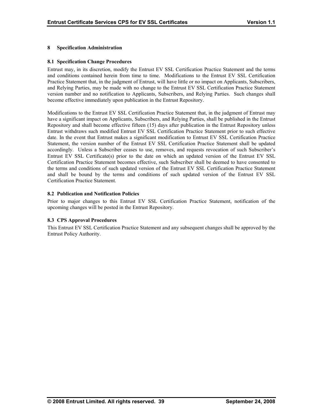### <span id="page-44-0"></span>**8 Specification Administration**

#### **8.1 Specification Change Procedures**

Entrust may, in its discretion, modify the Entrust EV SSL Certification Practice Statement and the terms and conditions contained herein from time to time. Modifications to the Entrust EV SSL Certification Practice Statement that, in the judgment of Entrust, will have little or no impact on Applicants, Subscribers, and Relying Parties, may be made with no change to the Entrust EV SSL Certification Practice Statement become effective immediately upon publication in the Entrust Repository. version number and no notification to Applicants, Subscribers, and Relying Parties. Such changes shall

Mod ifications to the Entrust EV SSL Certification Practice Statement that, in the judgment of Entrust may have a significant impact on Applicants, Subscribers, and Relying Parties, shall be published in the Entrust Repository and shall become effective fifteen (15) days after publication in the Entrust Repository unless Entrust withdraws such modified Entrust EV SSL Certification Practice Statement prior to such effective date. In the event that Entrust makes a significant modification to Entrust EV SSL Certification Practice Statement, the version number of the Entrust EV SSL Certification Practice Statement shall be updated accordingly. Unless a Subscriber ceases to use, removes, and requests revocation of such Subscriber's Entrust EV SSL Cert[ificate\(s\) prior to the date](http://www.entrust.net/CPS) on which an updated version of the Entrust EV SSL Certifica tion Practice Statement becomes effective, such Subscriber shall be deemed to have consented to the terms and conditions of such updated version of the Entrust EV SSL Certification Practice Statement and shall be bound by the terms and conditions of such updated version of the Entrust EV SSL Certification Practice Statement.

### **8.2 Publication and Notification Policies**

Prior to major changes to this Entrust EV SSL Certification Practice Statement, notification of the upcoming changes will be posted in the Entrust Repository.

# **8.3 CPS Approval Procedures**

This Entrust EV SSL Certification Practice Statement and any subsequent changes shall be approved by the Entrust Policy Authority.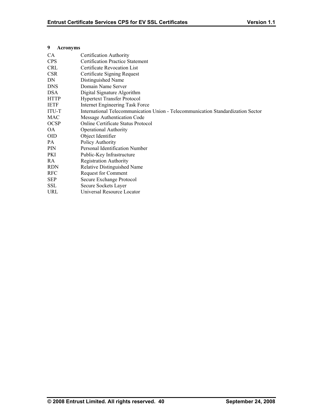### <span id="page-45-0"></span>**9 Acronyms**

| CA           | Certification Authority                                                          |
|--------------|----------------------------------------------------------------------------------|
| <b>CPS</b>   | <b>Certification Practice Statement</b>                                          |
| <b>CRL</b>   | Certificate Revocation List                                                      |
| <b>CSR</b>   | Certificate Signing Request                                                      |
| DN           | Distinguished Name                                                               |
| <b>DNS</b>   | Domain Name Server                                                               |
| <b>DSA</b>   | Digital Signature Algorithm                                                      |
| <b>HTTP</b>  | <b>Hypertext Transfer Protocol</b>                                               |
| IETF         | Internet Engineering Task Force                                                  |
| <b>ITU-T</b> | International Telecommunication Union - Telecommunication Standardization Sector |
| <b>MAC</b>   | Message Authentication Code                                                      |
| <b>OCSP</b>  | Online Certificate Status Protocol                                               |
| OA.          | <b>Operational Authority</b>                                                     |
| <b>OID</b>   | Object Identifier                                                                |
| PA           | Policy Authority                                                                 |
| <b>PIN</b>   | Personal Identification Number                                                   |
| PKI          | Public-Key Infrastructure                                                        |
| RA.          | <b>Registration Authority</b>                                                    |
| <b>RDN</b>   | Relative Distinguished Name                                                      |
| <b>RFC</b>   | Request for Comment                                                              |
| <b>SEP</b>   | Secure Exchange Protocol                                                         |
| <b>SSL</b>   | Secure Sockets Layer                                                             |
| URL          | Universal Resource Locator                                                       |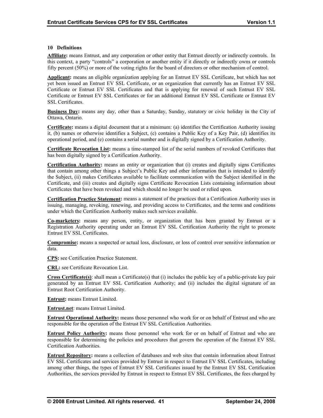#### <span id="page-46-0"></span>**10 Definitions**

**Affiliate:** means Entrust, and any corporation or other entity that Entrust directly or indirectly controls. In this context, a party "controls" a corporation or another entity if it directly or indirectly owns or controls fifty percent  $(50%)$  or more of the voting rights for the board of directors or other mechanism of control.

Applicant: means an eligible organization applying for an Entrust EV SSL Certificate, but which has not yet been issued an Entrust EV SSL Certificate, or an organization that currently has an Entrust EV SSL Certificate or Entrust EV SSL Certificates and that is applying for renewal of such Entrust EV SSL Certificate or Entrust EV SSL Certificates or for an additional Entrust EV SSL Certificate or Entrust EV SSL Certificates.

**Business Day:** means any day, other than a Saturday, Sunday, statutory or civic holiday in the City of Ottawa, Ontario.

**Certificate:** means a digital document that at a minimum: (a) identifies the Certification Authority issuing it, (b) names or otherwise identifies a Subject, (c) contains a Public Key of a Key Pair, (d) identifies its operational period, and (e) contains a serial number and is digitally signed by a Certification Authority.

**ficate Revocation List:** means a time-stamped list of the serial numbers of revoked Certificates that has been digitally signed by a Certification Authority.

**Certification Authority:** means an entity or organization that (i) creates and digitally signs Certificates that contain among other things a Subject's Public Key and other information that is intended to identify the Subject, (ii) makes Certificates available to facilitate communication with the Subject identified in the Certificate, and (iii) creates and digitally signs Certificate Revocation Lists containing information about Certificates that have been revoked and which should no longer be used or relied upon.

**Certification Practice Statement:** means a statement of the practices that a Certification Authority uses in issuing, managing, revoking, renewing, and providing access to Certificates, and the terms and conditions under which the Certification Authority makes such services available.

**Co-marketers:** means any person, entity, or organization that has been granted by Entrust or a Registration Authority operating under an Entrust EV SSL Certification Authority the right to promote Entrust EV SSL Certificates.

**Compromise:** means a suspected or actual loss, disclosure, or loss of control over sensitive information or data.

**CPS:** see Certification Practice Statement.

**CRL:** see Certificate Revocation List.

**Cross Certificate(s)**: shall mean a Certificate(s) that (i) includes the public key of a public-private key pair generated by an Entrust EV SSL Certification Authority; and (ii) includes the digital signature of an Entrust Root Certification Authority.

**Entrust:** means Entrust Limited.

**Entrust.net**: means Entrust Limited.

**Entrust Operational Authority:** means those personnel who work for or on behalf of Entrust and who are responsible for the operation of the Entrust EV SSL Certification Authorities.

**Entrust Policy Authority:** means those personnel who work for or on behalf of Entrust and who are responsible for determining the policies and procedures that govern the operation of the Entrust EV SSL Certification Authorities.

**Entrust Repository:** means a collection of databases and web sites that contain information about Entrust EV SSL Certificates and services provided by Entrust in respect to Entrust EV SSL Certificates, including among other things, the types of Entrust EV SSL Certificates issued by the Entrust EV SSL Certification Authorities, the services provided by Entrust in respect to Entrust EV SSL Certificates, the fees charged by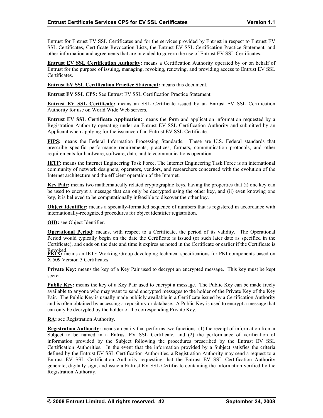<span id="page-47-0"></span>Entrust for Entrust EV SSL Certificates and for the services provided by Entrust in respect to Entrust EV SSL Certificates, Certificate Revocation Lists, the Entrust EV SSL Certification Practice Statement, and other information and agreements that are intended to govern the use of Entrust EV SSL Certificates.

**Entrust EV SSL Certification Authority:** means a Certification Authority operated by or on behalf of Entrust for the purpose of issuing, managing, revoking, renewing, and providing access to Entrust EV SSL Certificates.

**Entrust EV SSL Certification Practice Statement:** means this document.

**Entrust EV SSL CPS:** See Entrust EV SSL Certification Practice Statement.

**Entrust EV SSL Certificate:** means an SSL Certificate issued by an Entrust EV SSL Certification Authority for use on World Wide Web servers.

**Entrust EV SSL Certificate Application:** means the form and application information requested by a Registration Authority operating under an Entrust EV SSL Certification Authority and submitted by an Applicant when applying for the issuance of an Entrust EV SSL Certificate.

**FIPS:** means the Federal Information Processing Standards. These are U.S. Federal standards that prescribe specific performance requirements, practices, formats, communication protocols, and other requirements for hardware, software, data, and telecommunications operation.

**IETF:** means the Internet Engineering Task Force. The Internet Engineering Task Force is an international community of network designers, operators, vendors, and researchers concerned with the evolution of the Internet architecture and the efficient operation of the Internet.

**Key Pair:** means two mathematically related cryptographic keys, having the properties that (i) one key can be used to encrypt a message that can only be decrypted using the other key, and (ii) even knowing one key, it is believed to be computationally infeasible to discover the other key.

**Object Identifier:** means a specially-formatted sequence of numbers that is registered in accordance with internationally-recognized procedures for object identifier registration.

**OID:** see Object Identifier.

**Operational Period:** means, with respect to a Certificate, the period of its validity. The Operational Period would typically begin on the date the Certificate is issued (or such later date as specified in the Certificate), and ends on the date and time it expires as noted in the Certificate or earlier if the Certificate is

Revoked.<br>**PKIX:** means an IETF Working Group developing technical specifications for PKI components based on X.509 Version 3 Certificates.

**Private Key:** means the key of a Key Pair used to decrypt an encrypted message. This key must be kept secret.

**Public Key:** means the key of a Key Pair used to encrypt a message. The Public Key can be made freely available to anyone who may want to send encrypted messages to the holder of the Private Key of the Key Pair. The Public Key is usually made publicly available in a Certificate issued by a Certification Authority and is often obtained by accessing a repository or database. A Public Key is used to encrypt a message that can only be decrypted by the holder of the corresponding Private Key.

**RA:** see Registration Authority.

**Registration Authority:** means an entity that performs two functions: (1) the receipt of information from a Certification Authorities. In the event that the information provided by a Subject satisfies the criteria Subject to be named in a Entrust EV SSL Certificate, and (2) the performance of verification of information provided by the Subject following the procedures prescribed by the Entrust EV SSL defined by the Entrust EV SSL Certification Authorities, a Registration Authority may send a request to a Entrust EV SSL Certification Authority requesting that the Entrust EV SSL Certification Authority generate, digitally sign, and issue a Entrust EV SSL Certificate containing the information verified by the Registration Authority.